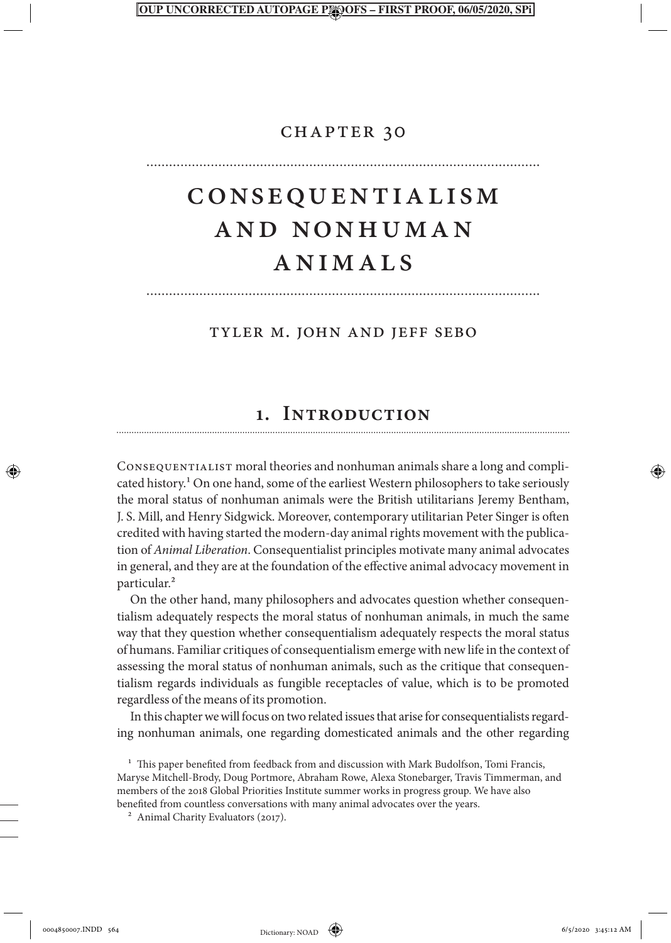#### PROOF, 06/05/2020.

## chapter 30

# Consequentialism and Nonhuman ANIMALS

#### Tyler M. John and Jeff Sebo

## **1. Introduction**

Consequentialist moral theories and nonhuman animals share a long and complicated history.<sup>1</sup> On one hand, some of the earliest Western philosophers to take seriously the moral status of nonhuman animals were the British utilitarians Jeremy Bentham, J. S. Mill, and Henry Sidgwick. Moreover, contemporary utilitarian Peter Singer is often credited with having started the modern-day animal rights movement with the publication of *Animal Liberation*. Consequentialist principles motivate many animal advocates in general, and they are at the foundation of the effective animal advocacy movement in particular.2

On the other hand, many philosophers and advocates question whether consequentialism adequately respects the moral status of nonhuman animals, in much the same way that they question whether consequentialism adequately respects the moral status of humans. Familiar critiques of consequentialism emerge with new life in the context of assessing the moral status of nonhuman animals, such as the critique that consequentialism regards individuals as fungible receptacles of value, which is to be promoted regardless of the means of its promotion.

In this chapter we will focus on two related issues that arise for consequentialists regarding nonhuman animals, one regarding domesticated animals and the other regarding

0004850007.INDD 564 6/5/2020 3:45:12 AM Dictionary NOAD ( $\leftrightarrow$ 

<sup>&</sup>lt;sup>1</sup> This paper benefited from feedback from and discussion with Mark Budolfson, Tomi Francis, Maryse Mitchell-Brody, Doug Portmore, Abraham Rowe, Alexa Stonebarger, Travis Timmerman, and members of the 2018 Global Priorities Institute summer works in progress group. We have also benefited from countless conversations with many animal advocates over the years.

<sup>&</sup>lt;sup>2</sup> Animal Charity Evaluators (2017).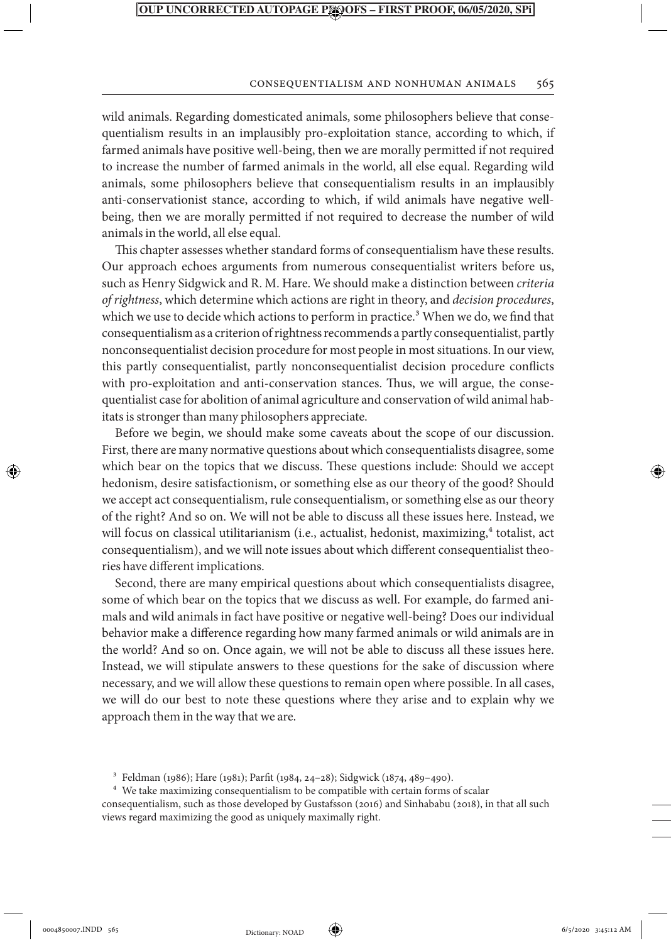#### Consequentialism and Nonhuman Animals 565

wild animals. Regarding domesticated animals, some philosophers believe that consequentialism results in an implausibly pro-exploitation stance, according to which, if farmed animals have positive well-being, then we are morally permitted if not required to increase the number of farmed animals in the world, all else equal. Regarding wild animals, some philosophers believe that consequentialism results in an implausibly anti-conservationist stance, according to which, if wild animals have negative wellbeing, then we are morally permitted if not required to decrease the number of wild animals in the world, all else equal.

This chapter assesses whether standard forms of consequentialism have these results. Our approach echoes arguments from numerous consequentialist writers before us, such as Henry Sidgwick and R. M. Hare. We should make a distinction between *criteria of rightness*, which determine which actions are right in theory, and *decision procedures*, which we use to decide which actions to perform in practice.<sup>3</sup> When we do, we find that consequentialism as a criterion of rightness recommends a partly consequentialist, partly nonconsequentialist decision procedure for most people in most situations. In our view, this partly consequentialist, partly nonconsequentialist decision procedure conflicts with pro-exploitation and anti-conservation stances. Thus, we will argue, the consequentialist case for abolition of animal agriculture and conservation of wild animal habitats is stronger than many philosophers appreciate.

Before we begin, we should make some caveats about the scope of our discussion. First, there are many normative questions about which consequentialists disagree, some which bear on the topics that we discuss. These questions include: Should we accept hedonism, desire satisfactionism, or something else as our theory of the good? Should we accept act consequentialism, rule consequentialism, or something else as our theory of the right? And so on. We will not be able to discuss all these issues here. Instead, we will focus on classical utilitarianism (i.e., actualist, hedonist, maximizing, $<sup>4</sup>$  totalist, act</sup> consequentialism), and we will note issues about which different consequentialist theories have different implications.

Second, there are many empirical questions about which consequentialists disagree, some of which bear on the topics that we discuss as well. For example, do farmed animals and wild animals in fact have positive or negative well-being? Does our individual behavior make a difference regarding how many farmed animals or wild animals are in the world? And so on. Once again, we will not be able to discuss all these issues here. Instead, we will stipulate answers to these questions for the sake of discussion where necessary, and we will allow these questions to remain open where possible. In all cases, we will do our best to note these questions where they arise and to explain why we approach them in the way that we are.

⊕



<sup>3</sup> Feldman (1986); Hare (1981); Parfit (1984, 24–28); Sidgwick (1874, 489–490).

<sup>4</sup> We take maximizing consequentialism to be compatible with certain forms of scalar consequentialism, such as those developed by Gustafsson (2016) and Sinhababu (2018), in that all such views regard maximizing the good as uniquely maximally right.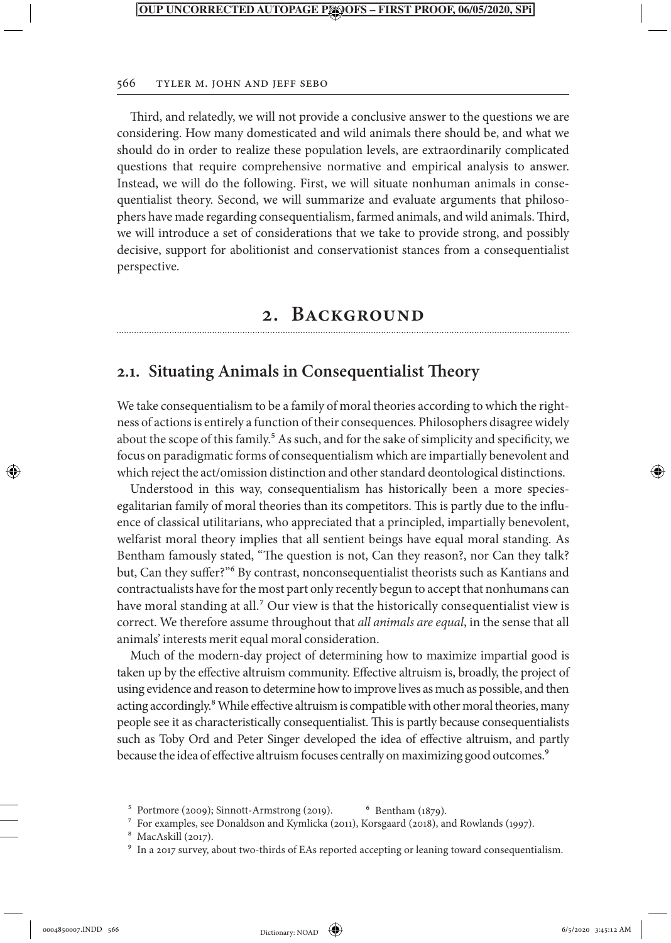#### 566 Tyler M. John and Jeff Sebo

Third, and relatedly, we will not provide a conclusive answer to the questions we are considering. How many domesticated and wild animals there should be, and what we should do in order to realize these population levels, are extraordinarily complicated questions that require comprehensive normative and empirical analysis to answer. Instead, we will do the following. First, we will situate nonhuman animals in consequentialist theory. Second, we will summarize and evaluate arguments that philosophers have made regarding consequentialism, farmed animals, and wild animals. Third, we will introduce a set of considerations that we take to provide strong, and possibly decisive, support for abolitionist and conservationist stances from a consequentialist perspective.

## **2. Background**

## **2.1. Situating Animals in Consequentialist Theory**

We take consequentialism to be a family of moral theories according to which the rightness of actions is entirely a function of their consequences. Philosophers disagree widely about the scope of this family.<sup>5</sup> As such, and for the sake of simplicity and specificity, we focus on paradigmatic forms of consequentialism which are impartially benevolent and which reject the act/omission distinction and other standard deontological distinctions.

Understood in this way, consequentialism has historically been a more speciesegalitarian family of moral theories than its competitors. This is partly due to the influence of classical utilitarians, who appreciated that a principled, impartially benevolent, welfarist moral theory implies that all sentient beings have equal moral standing. As Bentham famously stated, "The question is not, Can they reason?, nor Can they talk? but, Can they suffer?"6 By contrast, nonconsequentialist theorists such as Kantians and contractualists have for the most part only recently begun to accept that nonhumans can have moral standing at all.<sup>7</sup> Our view is that the historically consequentialist view is correct. We therefore assume throughout that *all animals are equal*, in the sense that all animals' interests merit equal moral consideration.

Much of the modern-day project of determining how to maximize impartial good is taken up by the effective altruism community. Effective altruism is, broadly, the project of using evidence and reason to determine how to improve lives as much as possible, and then acting accordingly.<sup>8</sup> While effective altruism is compatible with other moral theories, many people see it as characteristically consequentialist. This is partly because consequentialists such as Toby Ord and Peter Singer developed the idea of effective altruism, and partly because the idea of effective altruism focuses centrally on maximizing good outcomes.<sup>9</sup>

⊕

 $5$  Portmore (2009); Sinnott-Armstrong (2019).  $6$  Bentham (1879).

<sup>7</sup> For examples, see Donaldson and Kymlicka (2011), Korsgaard (2018), and Rowlands (1997).

<sup>8</sup> MacAskill (2017).

<sup>&</sup>lt;sup>9</sup> In a 2017 survey, about two-thirds of EAs reported accepting or leaning toward consequentialism.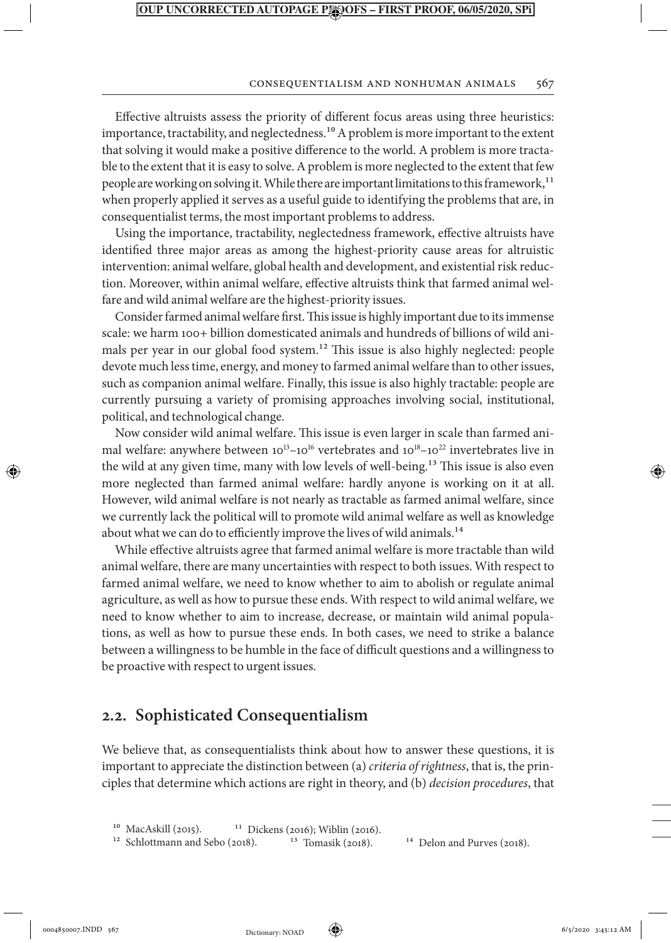#### Consequentialism and Nonhuman Animals 567

Effective altruists assess the priority of different focus areas using three heuristics: importance, tractability, and neglectedness.<sup>10</sup> A problem is more important to the extent that solving it would make a positive difference to the world. A problem is more tractable to the extent that it is easy to solve. A problem is more neglected to the extent that few people are working on solving it. While there are important limitations to this framework,<sup>11</sup> when properly applied it serves as a useful guide to identifying the problems that are, in consequentialist terms, the most important problems to address.

Using the importance, tractability, neglectedness framework, effective altruists have identified three major areas as among the highest-priority cause areas for altruistic intervention: animal welfare, global health and development, and existential risk reduction. Moreover, within animal welfare, effective altruists think that farmed animal welfare and wild animal welfare are the highest-priority issues.

Consider farmed animal welfare first. This issue is highly important due to its immense scale: we harm 100+ billion domesticated animals and hundreds of billions of wild animals per year in our global food system.<sup>12</sup> This issue is also highly neglected: people devote much less time, energy, and money to farmed animal welfare than to other issues, such as companion animal welfare. Finally, this issue is also highly tractable: people are currently pursuing a variety of promising approaches involving social, institutional, political, and technological change.

Now consider wild animal welfare. This issue is even larger in scale than farmed animal welfare: anywhere between  $10^{13}$ – $10^{16}$  vertebrates and  $10^{18}$ – $10^{22}$  invertebrates live in the wild at any given time, many with low levels of well-being.13 This issue is also even more neglected than farmed animal welfare: hardly anyone is working on it at all. However, wild animal welfare is not nearly as tractable as farmed animal welfare, since we currently lack the political will to promote wild animal welfare as well as knowledge about what we can do to efficiently improve the lives of wild animals.<sup>14</sup>

While effective altruists agree that farmed animal welfare is more tractable than wild animal welfare, there are many uncertainties with respect to both issues. With respect to farmed animal welfare, we need to know whether to aim to abolish or regulate animal agriculture, as well as how to pursue these ends. With respect to wild animal welfare, we need to know whether to aim to increase, decrease, or maintain wild animal populations, as well as how to pursue these ends. In both cases, we need to strike a balance between a willingness to be humble in the face of difficult questions and a willingness to be proactive with respect to urgent issues.

## **2.2. Sophisticated Consequentialism**

We believe that, as consequentialists think about how to answer these questions, it is important to appreciate the distinction between (a) *criteria of rightness*, that is, the principles that determine which actions are right in theory, and (b) *decision procedures*, that

<sup>10</sup> MacAskill (2015). <sup>11</sup> Dickens (2016); Wiblin (2016). <sup>12</sup> Schlottmann and Sebo (2018). <sup>13</sup> Tomasik (2018).

<sup>12</sup> Schlottmann and Sebo (2018). <sup>13</sup> Tomasik (2018). <sup>14</sup> Delon and Purves (2018).

⊕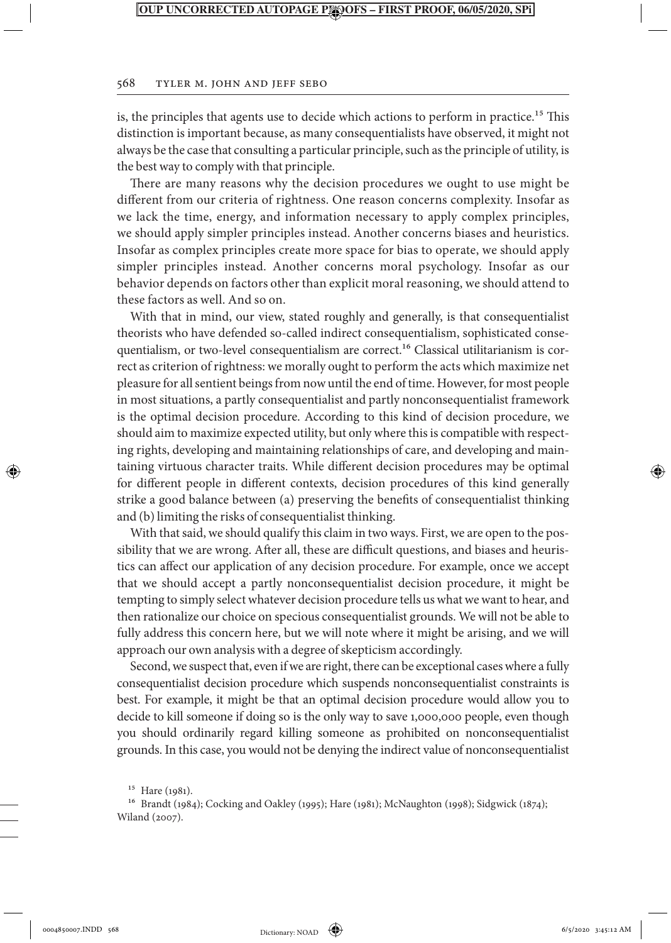#### 568 Tyler M. John and Jeff Sebo

is, the principles that agents use to decide which actions to perform in practice.15 This distinction is important because, as many consequentialists have observed, it might not always be the case that consulting a particular principle, such as the principle of utility, is the best way to comply with that principle.

There are many reasons why the decision procedures we ought to use might be different from our criteria of rightness. One reason concerns complexity. Insofar as we lack the time, energy, and information necessary to apply complex principles, we should apply simpler principles instead. Another concerns biases and heuristics. Insofar as complex principles create more space for bias to operate, we should apply simpler principles instead. Another concerns moral psychology. Insofar as our behavior depends on factors other than explicit moral reasoning, we should attend to these factors as well. And so on.

With that in mind, our view, stated roughly and generally, is that consequentialist theorists who have defended so-called indirect consequentialism, sophisticated consequentialism, or two-level consequentialism are correct.16 Classical utilitarianism is correct as criterion of rightness: we morally ought to perform the acts which maximize net pleasure for all sentient beings from now until the end of time. However, for most people in most situations, a partly consequentialist and partly nonconsequentialist framework is the optimal decision procedure. According to this kind of decision procedure, we should aim to maximize expected utility, but only where this is compatible with respecting rights, developing and maintaining relationships of care, and developing and maintaining virtuous character traits. While different decision procedures may be optimal for different people in different contexts, decision procedures of this kind generally strike a good balance between (a) preserving the benefits of consequentialist thinking and (b) limiting the risks of consequentialist thinking.

With that said, we should qualify this claim in two ways. First, we are open to the possibility that we are wrong. After all, these are difficult questions, and biases and heuristics can affect our application of any decision procedure. For example, once we accept that we should accept a partly nonconsequentialist decision procedure, it might be tempting to simply select whatever decision procedure tells us what we want to hear, and then rationalize our choice on specious consequentialist grounds. We will not be able to fully address this concern here, but we will note where it might be arising, and we will approach our own analysis with a degree of skepticism accordingly.

Second, we suspect that, even if we are right, there can be exceptional cases where a fully consequentialist decision procedure which suspends nonconsequentialist constraints is best. For example, it might be that an optimal decision procedure would allow you to decide to kill someone if doing so is the only way to save 1,000,000 people, even though you should ordinarily regard killing someone as prohibited on nonconsequentialist grounds. In this case, you would not be denying the indirect value of nonconsequentialist

⊕

↔

<sup>15</sup> Hare (1981).

<sup>16</sup> Brandt (1984); Cocking and Oakley (1995); Hare (1981); McNaughton (1998); Sidgwick (1874); Wiland (2007).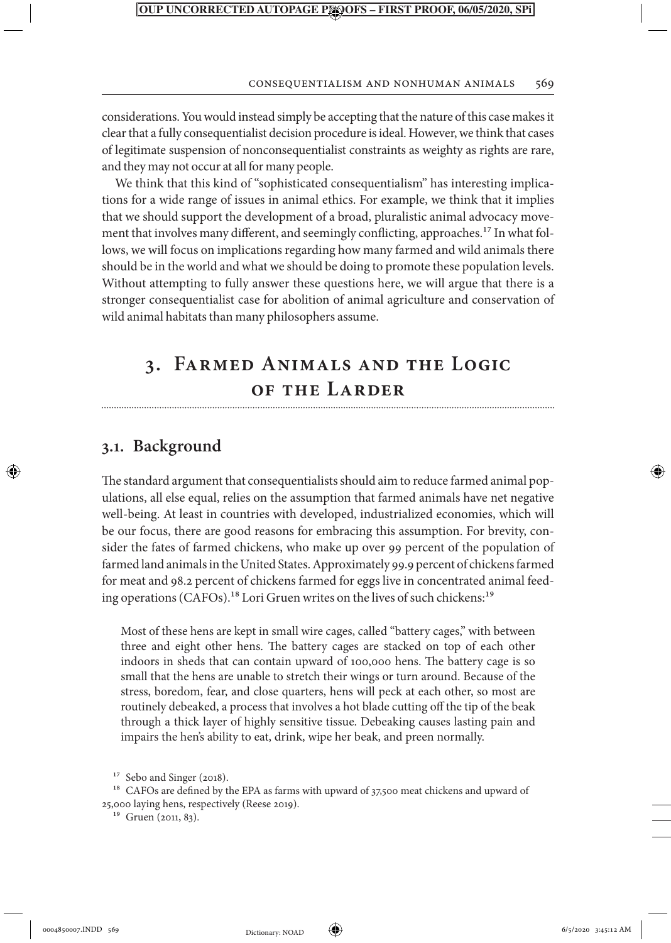#### Consequentialism and Nonhuman Animals 569

considerations. You would instead simply be accepting that the nature of this case makes it clear that a fully consequentialist decision procedure is ideal. However, we think that cases of legitimate suspension of nonconsequentialist constraints as weighty as rights are rare, and they may not occur at all for many people.

We think that this kind of "sophisticated consequentialism" has interesting implications for a wide range of issues in animal ethics. For example, we think that it implies that we should support the development of a broad, pluralistic animal advocacy movement that involves many different, and seemingly conflicting, approaches.<sup>17</sup> In what follows, we will focus on implications regarding how many farmed and wild animals there should be in the world and what we should be doing to promote these population levels. Without attempting to fully answer these questions here, we will argue that there is a stronger consequentialist case for abolition of animal agriculture and conservation of wild animal habitats than many philosophers assume.

## **3. Farmed Animals and the Logic of the Larder**

## **3.1. Background**

↔

The standard argument that consequentialists should aim to reduce farmed animal populations, all else equal, relies on the assumption that farmed animals have net negative well-being. At least in countries with developed, industrialized economies, which will be our focus, there are good reasons for embracing this assumption. For brevity, consider the fates of farmed chickens, who make up over 99 percent of the population of farmed land animals in the United States. Approximately 99.9 percent of chickens farmed for meat and 98.2 percent of chickens farmed for eggs live in concentrated animal feeding operations (CAFOs).<sup>18</sup> Lori Gruen writes on the lives of such chickens:<sup>19</sup>

Most of these hens are kept in small wire cages, called "battery cages," with between three and eight other hens. The battery cages are stacked on top of each other indoors in sheds that can contain upward of 100,000 hens. The battery cage is so small that the hens are unable to stretch their wings or turn around. Because of the stress, boredom, fear, and close quarters, hens will peck at each other, so most are routinely debeaked, a process that involves a hot blade cutting off the tip of the beak through a thick layer of highly sensitive tissue. Debeaking causes lasting pain and impairs the hen's ability to eat, drink, wipe her beak, and preen normally.

<sup>18</sup> CAFOs are defined by the EPA as farms with upward of 37,500 meat chickens and upward of 25,000 laying hens, respectively (Reese 2019).



<sup>&</sup>lt;sup>17</sup> Sebo and Singer (2018).

<sup>&</sup>lt;sup>19</sup> Gruen (2011, 83).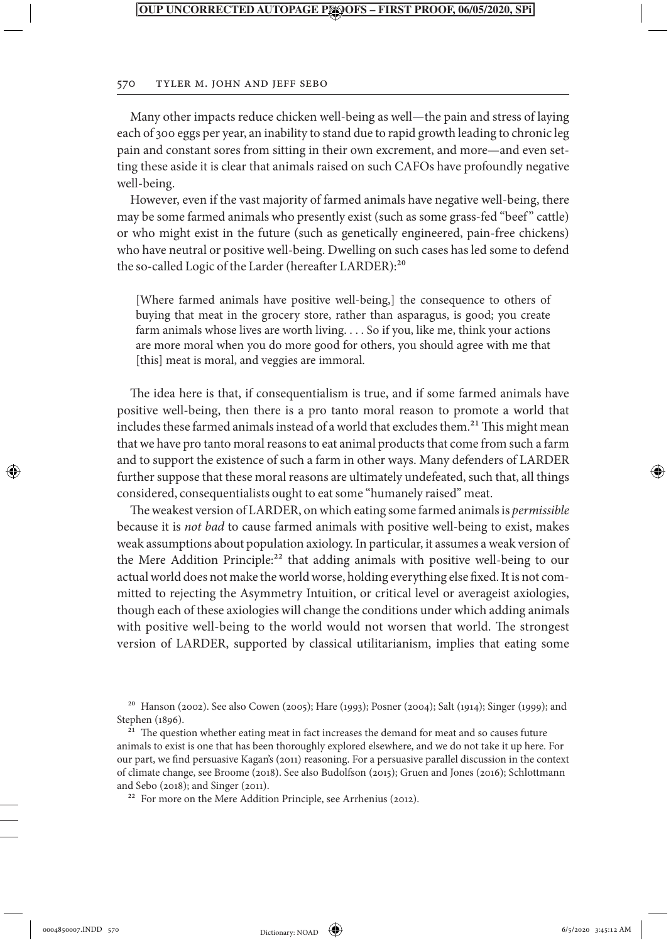#### 570 Tyler M. John and Jeff Sebo

Many other impacts reduce chicken well-being as well—the pain and stress of laying each of 300 eggs per year, an inability to stand due to rapid growth leading to chronic leg pain and constant sores from sitting in their own excrement, and more—and even setting these aside it is clear that animals raised on such CAFOs have profoundly negative well-being.

However, even if the vast majority of farmed animals have negative well-being, there may be some farmed animals who presently exist (such as some grass-fed "beef" cattle) or who might exist in the future (such as genetically engineered, pain-free chickens) who have neutral or positive well-being. Dwelling on such cases has led some to defend the so-called Logic of the Larder (hereafter LARDER):<sup>20</sup>

[Where farmed animals have positive well-being,] the consequence to others of buying that meat in the grocery store, rather than asparagus, is good; you create farm animals whose lives are worth living. . . . So if you, like me, think your actions are more moral when you do more good for others, you should agree with me that [this] meat is moral, and veggies are immoral.

The idea here is that, if consequentialism is true, and if some farmed animals have positive well-being, then there is a pro tanto moral reason to promote a world that includes these farmed animals instead of a world that excludes them.<sup>21</sup> This might mean that we have pro tanto moral reasons to eat animal products that come from such a farm and to support the existence of such a farm in other ways. Many defenders of LARDER further suppose that these moral reasons are ultimately undefeated, such that, all things considered, consequentialists ought to eat some "humanely raised" meat.

The weakest version of LARDER, on which eating some farmed animals is *permissible* because it is *not bad* to cause farmed animals with positive well-being to exist, makes weak assumptions about population axiology. In particular, it assumes a weak version of the Mere Addition Principle:<sup>22</sup> that adding animals with positive well-being to our actual world does not make the world worse, holding everything else fixed. It is not committed to rejecting the Asymmetry Intuition, or critical level or averageist axiologies, though each of these axiologies will change the conditions under which adding animals with positive well-being to the world would not worsen that world. The strongest version of LARDER, supported by classical utilitarianism, implies that eating some

⊕

<sup>20</sup> Hanson (2002). See also Cowen (2005); Hare (1993); Posner (2004); Salt (1914); Singer (1999); and Stephen (1896).

<sup>&</sup>lt;sup>21</sup> The question whether eating meat in fact increases the demand for meat and so causes future animals to exist is one that has been thoroughly explored elsewhere, and we do not take it up here. For our part, we find persuasive Kagan's (2011) reasoning. For a persuasive parallel discussion in the context of climate change, see Broome (2018). See also Budolfson (2015); Gruen and Jones (2016); Schlottmann and Sebo (2018); and Singer (2011).

<sup>&</sup>lt;sup>22</sup> For more on the Mere Addition Principle, see Arrhenius (2012).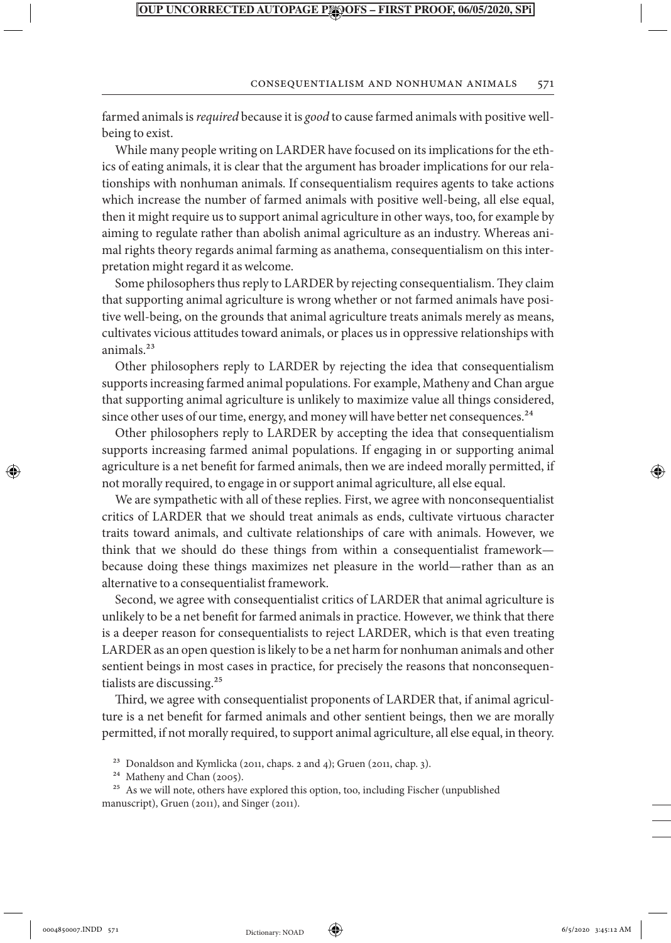#### Consequentialism and Nonhuman Animals 571

farmed animals is *required* because it is *good* to cause farmed animals with positive wellbeing to exist.

While many people writing on LARDER have focused on its implications for the ethics of eating animals, it is clear that the argument has broader implications for our relationships with nonhuman animals. If consequentialism requires agents to take actions which increase the number of farmed animals with positive well-being, all else equal, then it might require us to support animal agriculture in other ways, too, for example by aiming to regulate rather than abolish animal agriculture as an industry. Whereas animal rights theory regards animal farming as anathema, consequentialism on this interpretation might regard it as welcome.

Some philosophers thus reply to LARDER by rejecting consequentialism. They claim that supporting animal agriculture is wrong whether or not farmed animals have positive well-being, on the grounds that animal agriculture treats animals merely as means, cultivates vicious attitudes toward animals, or places us in oppressive relationships with animals.23

Other philosophers reply to LARDER by rejecting the idea that consequentialism supports increasing farmed animal populations. For example, Matheny and Chan argue that supporting animal agriculture is unlikely to maximize value all things considered, since other uses of our time, energy, and money will have better net consequences.<sup>24</sup>

Other philosophers reply to LARDER by accepting the idea that consequentialism supports increasing farmed animal populations. If engaging in or supporting animal agriculture is a net benefit for farmed animals, then we are indeed morally permitted, if not morally required, to engage in or support animal agriculture, all else equal.

We are sympathetic with all of these replies. First, we agree with nonconsequentialist critics of LARDER that we should treat animals as ends, cultivate virtuous character traits toward animals, and cultivate relationships of care with animals. However, we think that we should do these things from within a consequentialist framework because doing these things maximizes net pleasure in the world—rather than as an alternative to a consequentialist framework.

Second, we agree with consequentialist critics of LARDER that animal agriculture is unlikely to be a net benefit for farmed animals in practice. However, we think that there is a deeper reason for consequentialists to reject LARDER, which is that even treating LARDER as an open question is likely to be a net harm for nonhuman animals and other sentient beings in most cases in practice, for precisely the reasons that nonconsequentialists are discussing.25

Third, we agree with consequentialist proponents of LARDER that, if animal agriculture is a net benefit for farmed animals and other sentient beings, then we are morally permitted, if not morally required, to support animal agriculture, all else equal, in theory.

⊕



<sup>23</sup> Donaldson and Kymlicka (2011, chaps. 2 and 4); Gruen (2011, chap. 3).

<sup>24</sup> Matheny and Chan (2005).

<sup>&</sup>lt;sup>25</sup> As we will note, others have explored this option, too, including Fischer (unpublished manuscript), Gruen (2011), and Singer (2011).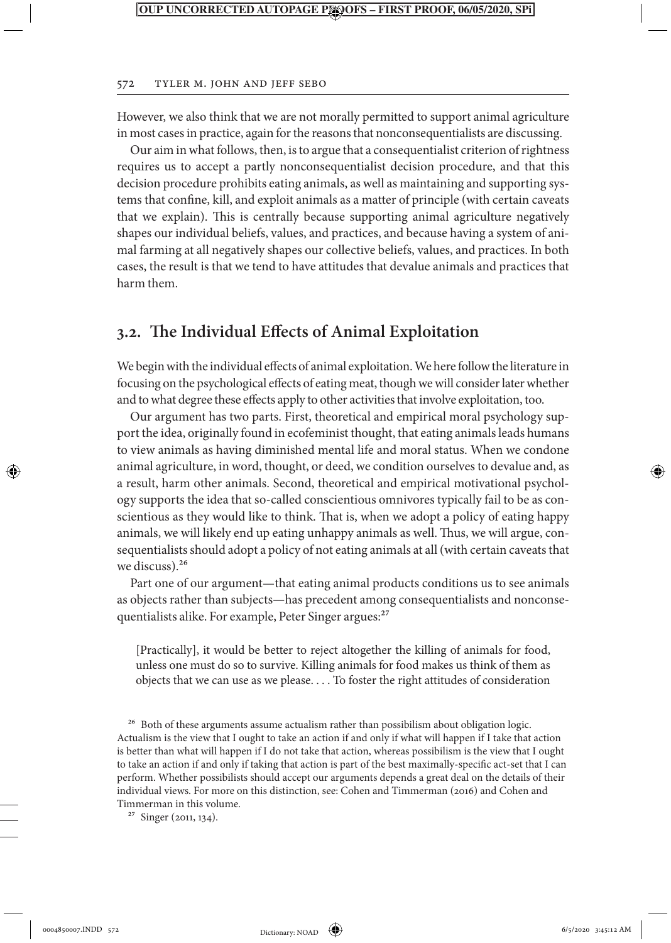#### 572 Tyler M. John and Jeff Sebo

However, we also think that we are not morally permitted to support animal agriculture in most cases in practice, again for the reasons that nonconsequentialists are discussing.

Our aim in what follows, then, is to argue that a consequentialist criterion of rightness requires us to accept a partly nonconsequentialist decision procedure, and that this decision procedure prohibits eating animals, as well as maintaining and supporting systems that confine, kill, and exploit animals as a matter of principle (with certain caveats that we explain). This is centrally because supporting animal agriculture negatively shapes our individual beliefs, values, and practices, and because having a system of animal farming at all negatively shapes our collective beliefs, values, and practices. In both cases, the result is that we tend to have attitudes that devalue animals and practices that harm them.

## **3.2. The Individual Effects of Animal Exploitation**

We begin with the individual effects of animal exploitation. We here follow the literature in focusing on the psychological effects of eating meat, though we will consider later whether and to what degree these effects apply to other activities that involve exploitation, too.

Our argument has two parts. First, theoretical and empirical moral psychology support the idea, originally found in ecofeminist thought, that eating animals leads humans to view animals as having diminished mental life and moral status. When we condone animal agriculture, in word, thought, or deed, we condition ourselves to devalue and, as a result, harm other animals. Second, theoretical and empirical motivational psychology supports the idea that so-called conscientious omnivores typically fail to be as conscientious as they would like to think. That is, when we adopt a policy of eating happy animals, we will likely end up eating unhappy animals as well. Thus, we will argue, consequentialists should adopt a policy of not eating animals at all (with certain caveats that we discuss).<sup>26</sup>

Part one of our argument—that eating animal products conditions us to see animals as objects rather than subjects—has precedent among consequentialists and nonconsequentialists alike. For example, Peter Singer argues:<sup>27</sup>

[Practically], it would be better to reject altogether the killing of animals for food, unless one must do so to survive. Killing animals for food makes us think of them as objects that we can use as we please. . . . To foster the right attitudes of consideration

<sup>26</sup> Both of these arguments assume actualism rather than possibilism about obligation logic. Actualism is the view that I ought to take an action if and only if what will happen if I take that action is better than what will happen if I do not take that action, whereas possibilism is the view that I ought to take an action if and only if taking that action is part of the best maximally-specific act-set that I can perform. Whether possibilists should accept our arguments depends a great deal on the details of their individual views. For more on this distinction, see: Cohen and Timmerman (2016) and Cohen and Timmerman in this volume.

27 Singer (2011, 134).

0004850007.INDD 572 **b** Dictionary: NOAD **(a)** 6/5/2020 3:45:12 AM

⊕

Dictionary: NOAD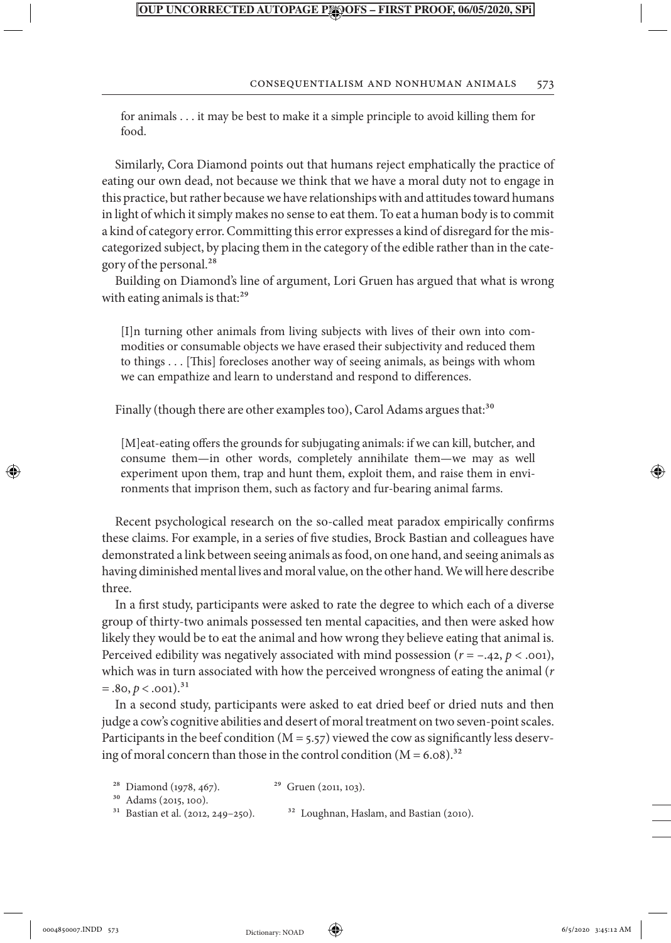#### Consequentialism and Nonhuman Animals 573

for animals . . . it may be best to make it a simple principle to avoid killing them for food.

Similarly, Cora Diamond points out that humans reject emphatically the practice of eating our own dead, not because we think that we have a moral duty not to engage in this practice, but rather because we have relationships with and attitudes toward humans in light of which it simply makes no sense to eat them. To eat a human body is to commit a kind of category error. Committing this error expresses a kind of disregard for the miscategorized subject, by placing them in the category of the edible rather than in the category of the personal.<sup>28</sup>

Building on Diamond's line of argument, Lori Gruen has argued that what is wrong with eating animals is that:<sup>29</sup>

[I]n turning other animals from living subjects with lives of their own into commodities or consumable objects we have erased their subjectivity and reduced them to things . . . [This] forecloses another way of seeing animals, as beings with whom we can empathize and learn to understand and respond to differences.

Finally (though there are other examples too), Carol Adams argues that:<sup>30</sup>

[M]eat-eating offers the grounds for subjugating animals: if we can kill, butcher, and consume them—in other words, completely annihilate them—we may as well experiment upon them, trap and hunt them, exploit them, and raise them in environments that imprison them, such as factory and fur-bearing animal farms.

Recent psychological research on the so-called meat paradox empirically confirms these claims. For example, in a series of five studies, Brock Bastian and colleagues have demonstrated a link between seeing animals as food, on one hand, and seeing animals as having diminished mental lives and moral value, on the other hand. We will here describe three.

In a first study, participants were asked to rate the degree to which each of a diverse group of thirty-two animals possessed ten mental capacities, and then were asked how likely they would be to eat the animal and how wrong they believe eating that animal is. Perceived edibility was negatively associated with mind possession (*r* = –.42, *p* < .001), which was in turn associated with how the perceived wrongness of eating the animal (*r*  $=$  .80,  $p <$  .001).<sup>31</sup>

In a second study, participants were asked to eat dried beef or dried nuts and then judge a cow's cognitive abilities and desert of moral treatment on two seven-point scales. Participants in the beef condition ( $M = 5.57$ ) viewed the cow as significantly less deserving of moral concern than those in the control condition  $(M = 6.08)^{32}$ 

<sup>28</sup> Diamond (1978, 467). <sup>29</sup> Gruen (2011, 103).

<sup>30</sup> Adams (2015, 100).<br><sup>31</sup> Bastian et al. (2012, 249–250).

<sup>32</sup> Loughnan, Haslam, and Bastian (2010).

⊕

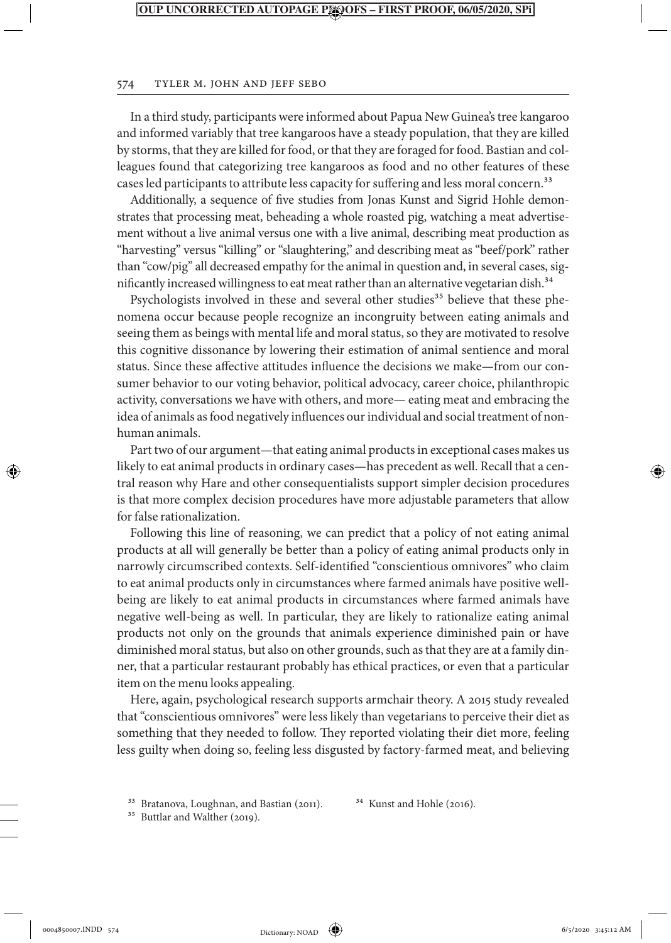#### 574 Tyler M. John and Jeff Sebo

In a third study, participants were informed about Papua New Guinea's tree kangaroo and informed variably that tree kangaroos have a steady population, that they are killed by storms, that they are killed for food, or that they are foraged for food. Bastian and colleagues found that categorizing tree kangaroos as food and no other features of these cases led participants to attribute less capacity for suffering and less moral concern.<sup>33</sup>

Additionally, a sequence of five studies from Jonas Kunst and Sigrid Hohle demonstrates that processing meat, beheading a whole roasted pig, watching a meat advertisement without a live animal versus one with a live animal, describing meat production as "harvesting" versus "killing" or "slaughtering," and describing meat as "beef/pork" rather than "cow/pig" all decreased empathy for the animal in question and, in several cases, significantly increased willingness to eat meat rather than an alternative vegetarian dish.<sup>34</sup>

Psychologists involved in these and several other studies<sup>35</sup> believe that these phenomena occur because people recognize an incongruity between eating animals and seeing them as beings with mental life and moral status, so they are motivated to resolve this cognitive dissonance by lowering their estimation of animal sentience and moral status. Since these affective attitudes influence the decisions we make—from our consumer behavior to our voting behavior, political advocacy, career choice, philanthropic activity, conversations we have with others, and more— eating meat and embracing the idea of animals as food negatively influences our individual and social treatment of nonhuman animals.

Part two of our argument—that eating animal products in exceptional cases makes us likely to eat animal products in ordinary cases—has precedent as well. Recall that a central reason why Hare and other consequentialists support simpler decision procedures is that more complex decision procedures have more adjustable parameters that allow for false rationalization.

Following this line of reasoning, we can predict that a policy of not eating animal products at all will generally be better than a policy of eating animal products only in narrowly circumscribed contexts. Self-identified "conscientious omnivores" who claim to eat animal products only in circumstances where farmed animals have positive wellbeing are likely to eat animal products in circumstances where farmed animals have negative well-being as well. In particular, they are likely to rationalize eating animal products not only on the grounds that animals experience diminished pain or have diminished moral status, but also on other grounds, such as that they are at a family dinner, that a particular restaurant probably has ethical practices, or even that a particular item on the menu looks appealing.

Here, again, psychological research supports armchair theory. A 2015 study revealed that "conscientious omnivores" were less likely than vegetarians to perceive their diet as something that they needed to follow. They reported violating their diet more, feeling less guilty when doing so, feeling less disgusted by factory-farmed meat, and believing

<sup>35</sup> Buttlar and Walther (2019).

⊕

<sup>&</sup>lt;sup>33</sup> Bratanova, Loughnan, and Bastian (2011).<sup>34</sup> Kunst and Hohle (2016).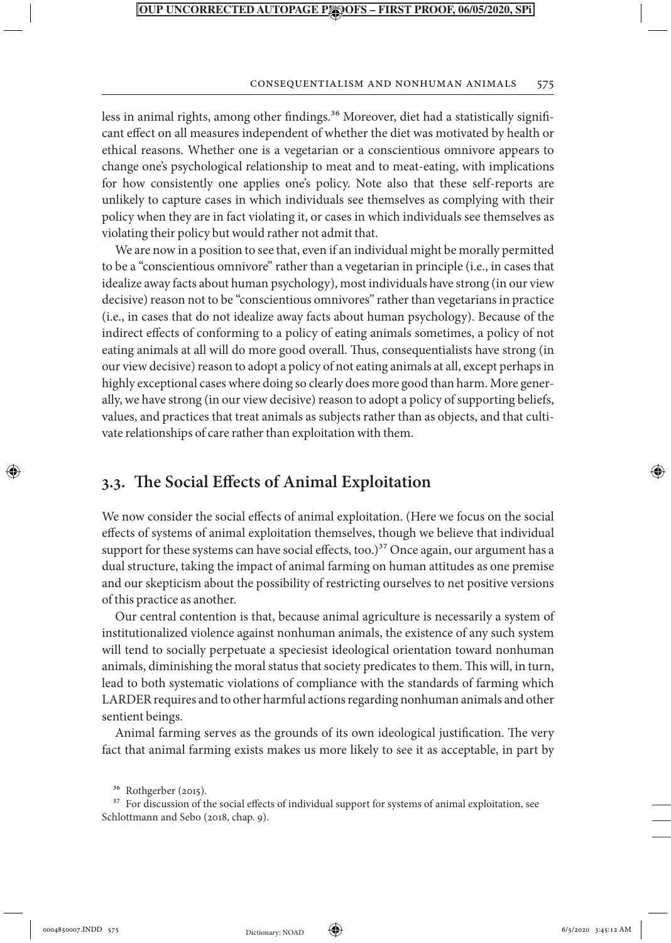#### Consequentialism and Nonhuman Animals 575

less in animal rights, among other findings.<sup>36</sup> Moreover, diet had a statistically significant effect on all measures independent of whether the diet was motivated by health or ethical reasons. Whether one is a vegetarian or a conscientious omnivore appears to change one's psychological relationship to meat and to meat-eating, with implications for how consistently one applies one's policy. Note also that these self-reports are unlikely to capture cases in which individuals see themselves as complying with their policy when they are in fact violating it, or cases in which individuals see themselves as violating their policy but would rather not admit that.

We are now in a position to see that, even if an individual might be morally permitted to be a "conscientious omnivore" rather than a vegetarian in principle (i.e., in cases that idealize away facts about human psychology), most individuals have strong (in our view decisive) reason not to be "conscientious omnivores" rather than vegetarians in practice (i.e., in cases that do not idealize away facts about human psychology). Because of the indirect effects of conforming to a policy of eating animals sometimes, a policy of not eating animals at all will do more good overall. Thus, consequentialists have strong (in our view decisive) reason to adopt a policy of not eating animals at all, except perhaps in highly exceptional cases where doing so clearly does more good than harm. More generally, we have strong (in our view decisive) reason to adopt a policy of supporting beliefs, values, and practices that treat animals as subjects rather than as objects, and that cultivate relationships of care rather than exploitation with them.

## **3.3. The Social Effects of Animal Exploitation**

We now consider the social effects of animal exploitation. (Here we focus on the social effects of systems of animal exploitation themselves, though we believe that individual support for these systems can have social effects, too.) $37$  Once again, our argument has a dual structure, taking the impact of animal farming on human attitudes as one premise and our skepticism about the possibility of restricting ourselves to net positive versions of this practice as another.

Our central contention is that, because animal agriculture is necessarily a system of institutionalized violence against nonhuman animals, the existence of any such system will tend to socially perpetuate a speciesist ideological orientation toward nonhuman animals, diminishing the moral status that society predicates to them. This will, in turn, lead to both systematic violations of compliance with the standards of farming which LARDER requires and to other harmful actions regarding nonhuman animals and other sentient beings.

Animal farming serves as the grounds of its own ideological justification. The very fact that animal farming exists makes us more likely to see it as acceptable, in part by

<sup>37</sup> For discussion of the social effects of individual support for systems of animal exploitation, see Schlottmann and Sebo (2018, chap. 9).

↔



<sup>36</sup> Rothgerber (2015).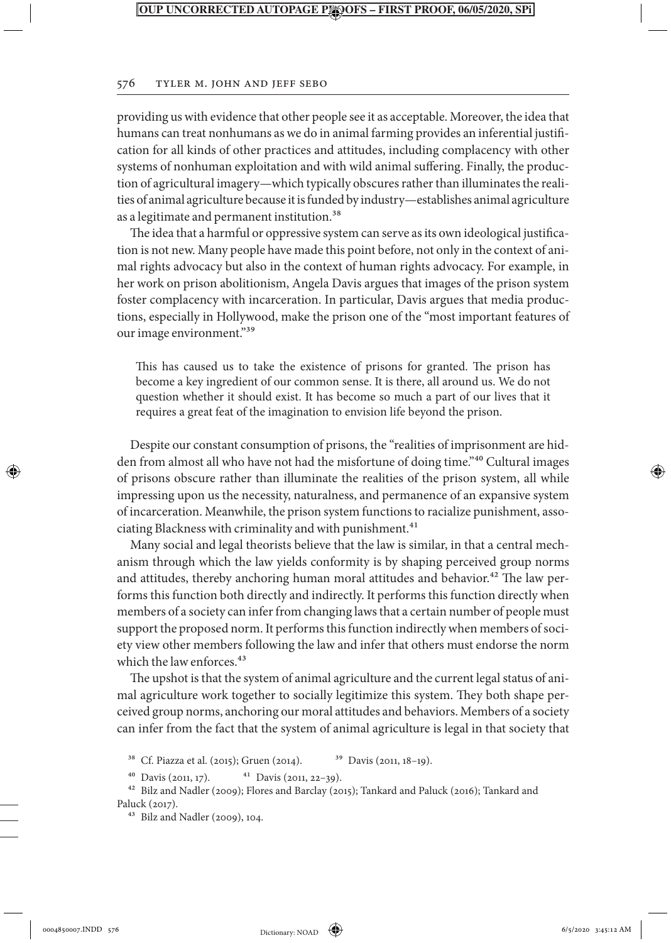#### 576 Tyler M. John and Jeff Sebo

providing us with evidence that other people see it as acceptable. Moreover, the idea that humans can treat nonhumans as we do in animal farming provides an inferential justification for all kinds of other practices and attitudes, including complacency with other systems of nonhuman exploitation and with wild animal suffering. Finally, the production of agricultural imagery—which typically obscures rather than illuminates the realities of animal agriculture because it is funded by industry—establishes animal agriculture as a legitimate and permanent institution.<sup>38</sup>

The idea that a harmful or oppressive system can serve as its own ideological justification is not new. Many people have made this point before, not only in the context of animal rights advocacy but also in the context of human rights advocacy. For example, in her work on prison abolitionism, Angela Davis argues that images of the prison system foster complacency with incarceration. In particular, Davis argues that media productions, especially in Hollywood, make the prison one of the "most important features of our image environment."39

This has caused us to take the existence of prisons for granted. The prison has become a key ingredient of our common sense. It is there, all around us. We do not question whether it should exist. It has become so much a part of our lives that it requires a great feat of the imagination to envision life beyond the prison.

Despite our constant consumption of prisons, the "realities of imprisonment are hidden from almost all who have not had the misfortune of doing time."40 Cultural images of prisons obscure rather than illuminate the realities of the prison system, all while impressing upon us the necessity, naturalness, and permanence of an expansive system of incarceration. Meanwhile, the prison system functions to racialize punishment, associating Blackness with criminality and with punishment.<sup>41</sup>

Many social and legal theorists believe that the law is similar, in that a central mechanism through which the law yields conformity is by shaping perceived group norms and attitudes, thereby anchoring human moral attitudes and behavior.<sup>42</sup> The law performs this function both directly and indirectly. It performs this function directly when members of a society can infer from changing laws that a certain number of people must support the proposed norm. It performs this function indirectly when members of society view other members following the law and infer that others must endorse the norm which the law enforces.<sup>43</sup>

The upshot is that the system of animal agriculture and the current legal status of animal agriculture work together to socially legitimize this system. They both shape perceived group norms, anchoring our moral attitudes and behaviors. Members of a society can infer from the fact that the system of animal agriculture is legal in that society that

<sup>38</sup> Cf. Piazza et al. (2015); Gruen (2014). <sup>39</sup> Davis (2011, 18–19).

40 Davis (2011, 17). 41 Davis (2011, 22–39).

42 Bilz and Nadler (2009); Flores and Barclay (2015); Tankard and Paluck (2016); Tankard and Paluck (2017).

43 Bilz and Nadler (2009), 104.

⊕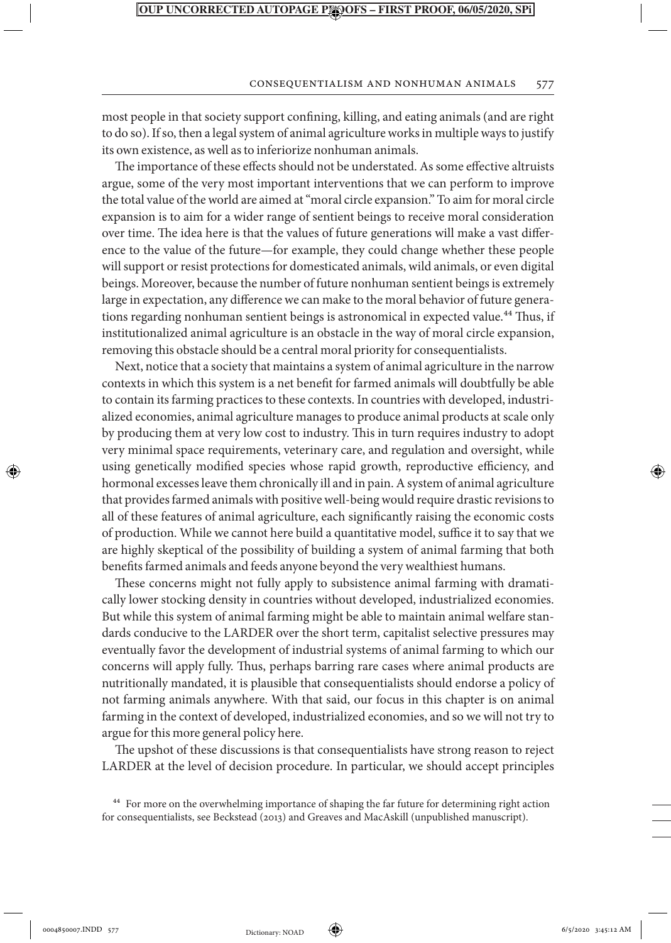#### Consequentialism and Nonhuman Animals 577

most people in that society support confining, killing, and eating animals (and are right to do so). If so, then a legal system of animal agriculture works in multiple ways to justify its own existence, as well as to inferiorize nonhuman animals.

The importance of these effects should not be understated. As some effective altruists argue, some of the very most important interventions that we can perform to improve the total value of the world are aimed at "moral circle expansion." To aim for moral circle expansion is to aim for a wider range of sentient beings to receive moral consideration over time. The idea here is that the values of future generations will make a vast difference to the value of the future—for example, they could change whether these people will support or resist protections for domesticated animals, wild animals, or even digital beings. Moreover, because the number of future nonhuman sentient beings is extremely large in expectation, any difference we can make to the moral behavior of future generations regarding nonhuman sentient beings is astronomical in expected value.<sup>44</sup> Thus, if institutionalized animal agriculture is an obstacle in the way of moral circle expansion, removing this obstacle should be a central moral priority for consequentialists.

Next, notice that a society that maintains a system of animal agriculture in the narrow contexts in which this system is a net benefit for farmed animals will doubtfully be able to contain its farming practices to these contexts. In countries with developed, industrialized economies, animal agriculture manages to produce animal products at scale only by producing them at very low cost to industry. This in turn requires industry to adopt very minimal space requirements, veterinary care, and regulation and oversight, while using genetically modified species whose rapid growth, reproductive efficiency, and hormonal excesses leave them chronically ill and in pain. A system of animal agriculture that provides farmed animals with positive well-being would require drastic revisions to all of these features of animal agriculture, each significantly raising the economic costs of production. While we cannot here build a quantitative model, suffice it to say that we are highly skeptical of the possibility of building a system of animal farming that both benefits farmed animals and feeds anyone beyond the very wealthiest humans.

These concerns might not fully apply to subsistence animal farming with dramatically lower stocking density in countries without developed, industrialized economies. But while this system of animal farming might be able to maintain animal welfare standards conducive to the LARDER over the short term, capitalist selective pressures may eventually favor the development of industrial systems of animal farming to which our concerns will apply fully. Thus, perhaps barring rare cases where animal products are nutritionally mandated, it is plausible that consequentialists should endorse a policy of not farming animals anywhere. With that said, our focus in this chapter is on animal farming in the context of developed, industrialized economies, and so we will not try to argue for this more general policy here.

The upshot of these discussions is that consequentialists have strong reason to reject LARDER at the level of decision procedure. In particular, we should accept principles

⊕



↔

<sup>44</sup> For more on the overwhelming importance of shaping the far future for determining right action for consequentialists, see Beckstead (2013) and Greaves and MacAskill (unpublished manuscript).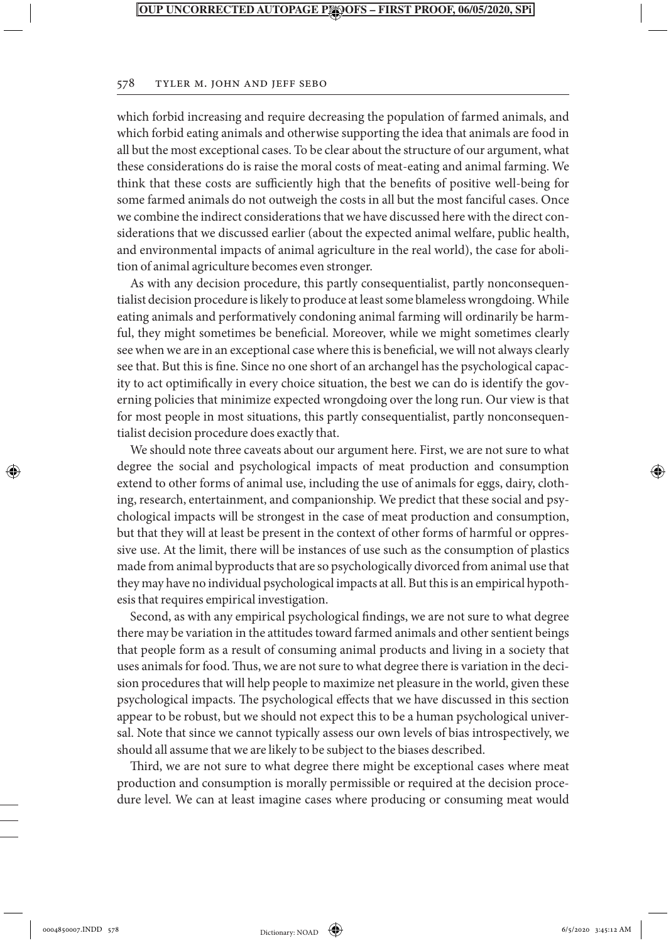#### 578 Tyler M. John and Jeff Sebo

which forbid increasing and require decreasing the population of farmed animals, and which forbid eating animals and otherwise supporting the idea that animals are food in all but the most exceptional cases. To be clear about the structure of our argument, what these considerations do is raise the moral costs of meat-eating and animal farming. We think that these costs are sufficiently high that the benefits of positive well-being for some farmed animals do not outweigh the costs in all but the most fanciful cases. Once we combine the indirect considerations that we have discussed here with the direct considerations that we discussed earlier (about the expected animal welfare, public health, and environmental impacts of animal agriculture in the real world), the case for abolition of animal agriculture becomes even stronger.

As with any decision procedure, this partly consequentialist, partly nonconsequentialist decision procedure is likely to produce at least some blameless wrongdoing. While eating animals and performatively condoning animal farming will ordinarily be harmful, they might sometimes be beneficial. Moreover, while we might sometimes clearly see when we are in an exceptional case where this is beneficial, we will not always clearly see that. But this is fine. Since no one short of an archangel has the psychological capacity to act optimifically in every choice situation, the best we can do is identify the governing policies that minimize expected wrongdoing over the long run. Our view is that for most people in most situations, this partly consequentialist, partly nonconsequentialist decision procedure does exactly that.

We should note three caveats about our argument here. First, we are not sure to what degree the social and psychological impacts of meat production and consumption extend to other forms of animal use, including the use of animals for eggs, dairy, clothing, research, entertainment, and companionship. We predict that these social and psychological impacts will be strongest in the case of meat production and consumption, but that they will at least be present in the context of other forms of harmful or oppressive use. At the limit, there will be instances of use such as the consumption of plastics made from animal byproducts that are so psychologically divorced from animal use that they may have no individual psychological impacts at all. But this is an empirical hypothesis that requires empirical investigation.

Second, as with any empirical psychological findings, we are not sure to what degree there may be variation in the attitudes toward farmed animals and other sentient beings that people form as a result of consuming animal products and living in a society that uses animals for food. Thus, we are not sure to what degree there is variation in the decision procedures that will help people to maximize net pleasure in the world, given these psychological impacts. The psychological effects that we have discussed in this section appear to be robust, but we should not expect this to be a human psychological universal. Note that since we cannot typically assess our own levels of bias introspectively, we should all assume that we are likely to be subject to the biases described.

Third, we are not sure to what degree there might be exceptional cases where meat production and consumption is morally permissible or required at the decision procedure level. We can at least imagine cases where producing or consuming meat would

⊕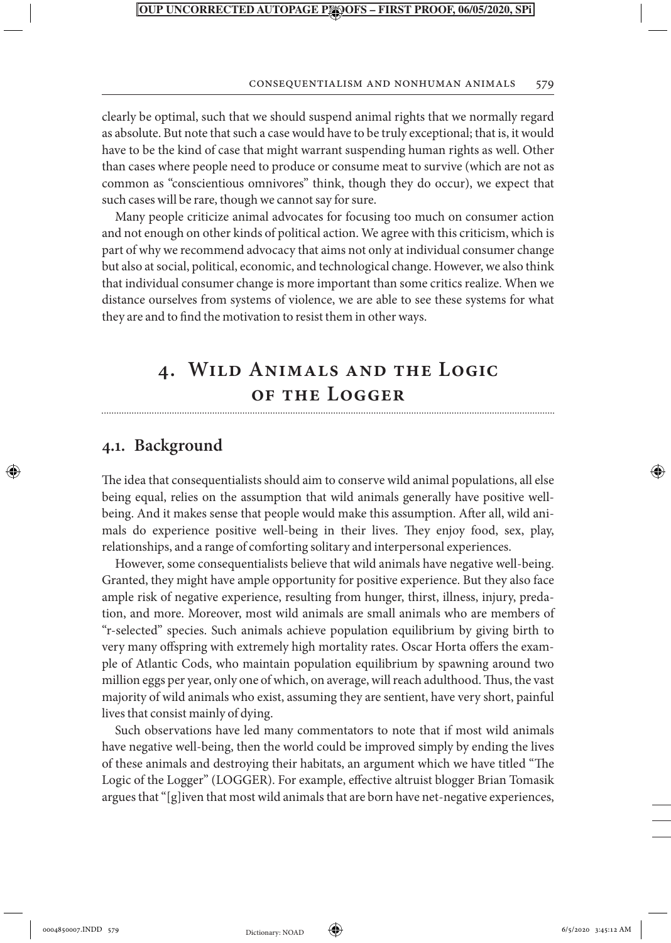#### Consequentialism and Nonhuman Animals 579

clearly be optimal, such that we should suspend animal rights that we normally regard as absolute. But note that such a case would have to be truly exceptional; that is, it would have to be the kind of case that might warrant suspending human rights as well. Other than cases where people need to produce or consume meat to survive (which are not as common as "conscientious omnivores" think, though they do occur), we expect that such cases will be rare, though we cannot say for sure.

Many people criticize animal advocates for focusing too much on consumer action and not enough on other kinds of political action. We agree with this criticism, which is part of why we recommend advocacy that aims not only at individual consumer change but also at social, political, economic, and technological change. However, we also think that individual consumer change is more important than some critics realize. When we distance ourselves from systems of violence, we are able to see these systems for what they are and to find the motivation to resist them in other ways.

## **4. Wild Animals and the Logic of the Logger**

## **4.1. Background**

↔

The idea that consequentialists should aim to conserve wild animal populations, all else being equal, relies on the assumption that wild animals generally have positive wellbeing. And it makes sense that people would make this assumption. After all, wild animals do experience positive well-being in their lives. They enjoy food, sex, play, relationships, and a range of comforting solitary and interpersonal experiences.

However, some consequentialists believe that wild animals have negative well-being. Granted, they might have ample opportunity for positive experience. But they also face ample risk of negative experience, resulting from hunger, thirst, illness, injury, predation, and more. Moreover, most wild animals are small animals who are members of "r-selected" species. Such animals achieve population equilibrium by giving birth to very many offspring with extremely high mortality rates. Oscar Horta offers the example of Atlantic Cods, who maintain population equilibrium by spawning around two million eggs per year, only one of which, on average, will reach adulthood. Thus, the vast majority of wild animals who exist, assuming they are sentient, have very short, painful lives that consist mainly of dying.

Such observations have led many commentators to note that if most wild animals have negative well-being, then the world could be improved simply by ending the lives of these animals and destroying their habitats, an argument which we have titled "The Logic of the Logger" (LOGGER). For example, effective altruist blogger Brian Tomasik argues that "[g]iven that most wild animals that are born have net-negative experiences,

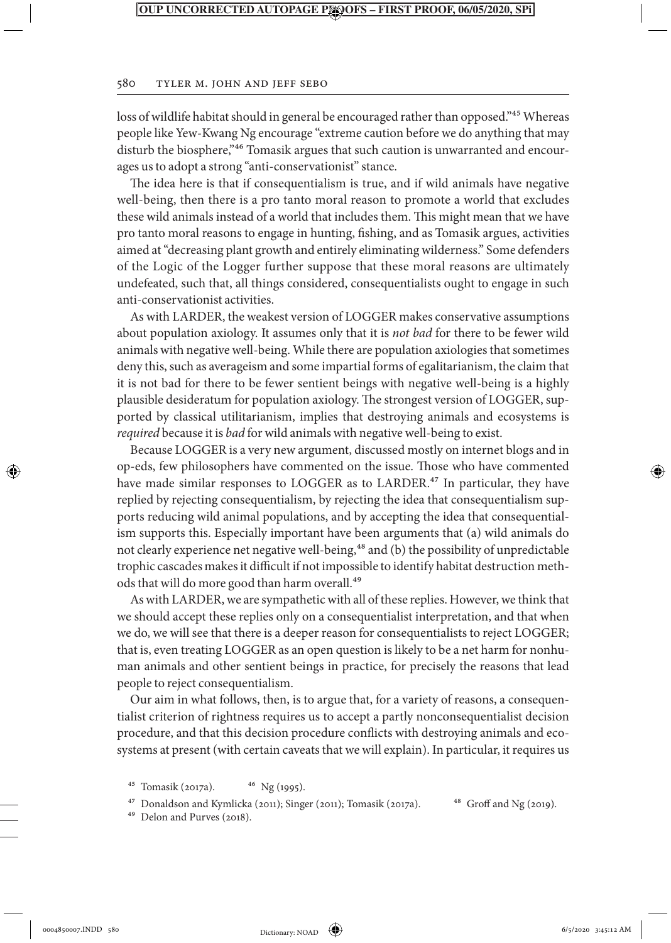#### 580 Tyler M. John and Jeff Sebo

loss of wildlife habitat should in general be encouraged rather than opposed."<sup>45</sup> Whereas people like Yew-Kwang Ng encourage "extreme caution before we do anything that may disturb the biosphere,"46 Tomasik argues that such caution is unwarranted and encourages us to adopt a strong "anti-conservationist" stance.

The idea here is that if consequentialism is true, and if wild animals have negative well-being, then there is a pro tanto moral reason to promote a world that excludes these wild animals instead of a world that includes them. This might mean that we have pro tanto moral reasons to engage in hunting, fishing, and as Tomasik argues, activities aimed at "decreasing plant growth and entirely eliminating wilderness." Some defenders of the Logic of the Logger further suppose that these moral reasons are ultimately undefeated, such that, all things considered, consequentialists ought to engage in such anti-conservationist activities.

As with LARDER, the weakest version of LOGGER makes conservative assumptions about population axiology. It assumes only that it is *not bad* for there to be fewer wild animals with negative well-being. While there are population axiologies that sometimes deny this, such as averageism and some impartial forms of egalitarianism, the claim that it is not bad for there to be fewer sentient beings with negative well-being is a highly plausible desideratum for population axiology. The strongest version of LOGGER, supported by classical utilitarianism, implies that destroying animals and ecosystems is *required* because it is *bad* for wild animals with negative well-being to exist.

Because LOGGER is a very new argument, discussed mostly on internet blogs and in op-eds, few philosophers have commented on the issue. Those who have commented have made similar responses to LOGGER as to LARDER.<sup>47</sup> In particular, they have replied by rejecting consequentialism, by rejecting the idea that consequentialism supports reducing wild animal populations, and by accepting the idea that consequentialism supports this. Especially important have been arguments that (a) wild animals do not clearly experience net negative well-being,<sup>48</sup> and (b) the possibility of unpredictable trophic cascades makes it difficult if not impossible to identify habitat destruction methods that will do more good than harm overall.<sup>49</sup>

As with LARDER, we are sympathetic with all of these replies. However, we think that we should accept these replies only on a consequentialist interpretation, and that when we do, we will see that there is a deeper reason for consequentialists to reject LOGGER; that is, even treating LOGGER as an open question is likely to be a net harm for nonhuman animals and other sentient beings in practice, for precisely the reasons that lead people to reject consequentialism.

Our aim in what follows, then, is to argue that, for a variety of reasons, a consequentialist criterion of rightness requires us to accept a partly nonconsequentialist decision procedure, and that this decision procedure conflicts with destroying animals and ecosystems at present (with certain caveats that we will explain). In particular, it requires us

- <sup>45</sup> Tomasik (2017a).  $46 \text{ Ng} (1995)$ .
- <sup>47</sup> Donaldson and Kymlicka (2011); Singer (2011); Tomasik (2017a). <sup>48</sup> Groff and Ng (2019).
- 49 Delon and Purves (2018).

⊕

Dictionary: NOAD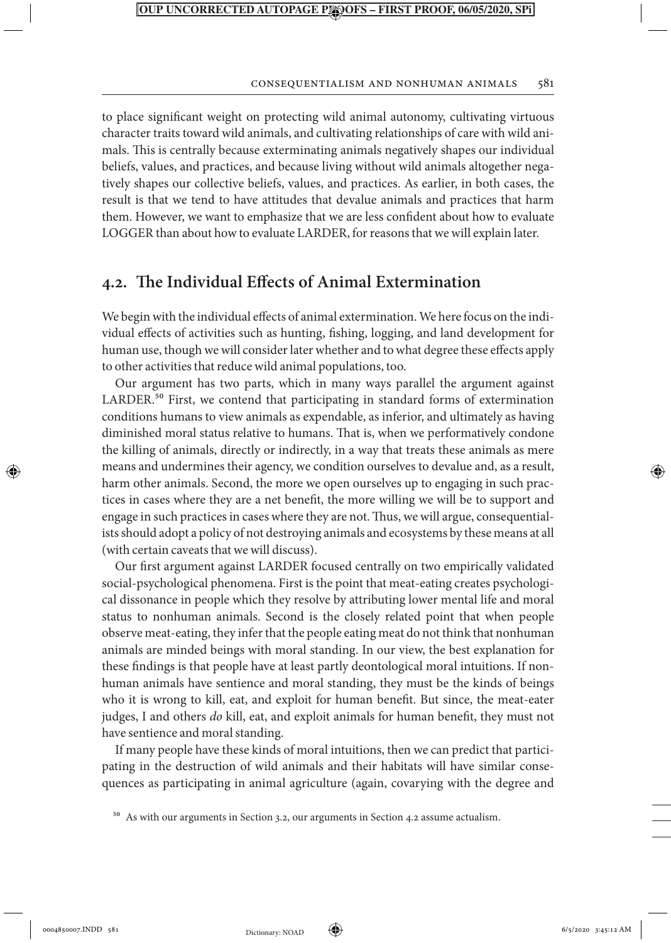#### Consequentialism and Nonhuman Animals 581

to place significant weight on protecting wild animal autonomy, cultivating virtuous character traits toward wild animals, and cultivating relationships of care with wild animals. This is centrally because exterminating animals negatively shapes our individual beliefs, values, and practices, and because living without wild animals altogether negatively shapes our collective beliefs, values, and practices. As earlier, in both cases, the result is that we tend to have attitudes that devalue animals and practices that harm them. However, we want to emphasize that we are less confident about how to evaluate LOGGER than about how to evaluate LARDER, for reasons that we will explain later.

## **4.2. The Individual Effects of Animal Extermination**

We begin with the individual effects of animal extermination. We here focus on the individual effects of activities such as hunting, fishing, logging, and land development for human use, though we will consider later whether and to what degree these effects apply to other activities that reduce wild animal populations, too.

Our argument has two parts, which in many ways parallel the argument against LARDER. $50$  First, we contend that participating in standard forms of extermination conditions humans to view animals as expendable, as inferior, and ultimately as having diminished moral status relative to humans. That is, when we performatively condone the killing of animals, directly or indirectly, in a way that treats these animals as mere means and undermines their agency, we condition ourselves to devalue and, as a result, harm other animals. Second, the more we open ourselves up to engaging in such practices in cases where they are a net benefit, the more willing we will be to support and engage in such practices in cases where they are not. Thus, we will argue, consequentialists should adopt a policy of not destroying animals and ecosystems by these means at all (with certain caveats that we will discuss).

Our first argument against LARDER focused centrally on two empirically validated social-psychological phenomena. First is the point that meat-eating creates psychological dissonance in people which they resolve by attributing lower mental life and moral status to nonhuman animals. Second is the closely related point that when people observe meat-eating, they infer that the people eating meat do not think that nonhuman animals are minded beings with moral standing. In our view, the best explanation for these findings is that people have at least partly deontological moral intuitions. If nonhuman animals have sentience and moral standing, they must be the kinds of beings who it is wrong to kill, eat, and exploit for human benefit. But since, the meat-eater judges, I and others *do* kill, eat, and exploit animals for human benefit, they must not have sentience and moral standing.

If many people have these kinds of moral intuitions, then we can predict that participating in the destruction of wild animals and their habitats will have similar consequences as participating in animal agriculture (again, covarying with the degree and

<sup>50</sup> As with our arguments in Section 3.2, our arguments in Section 4.2 assume actualism.

↔

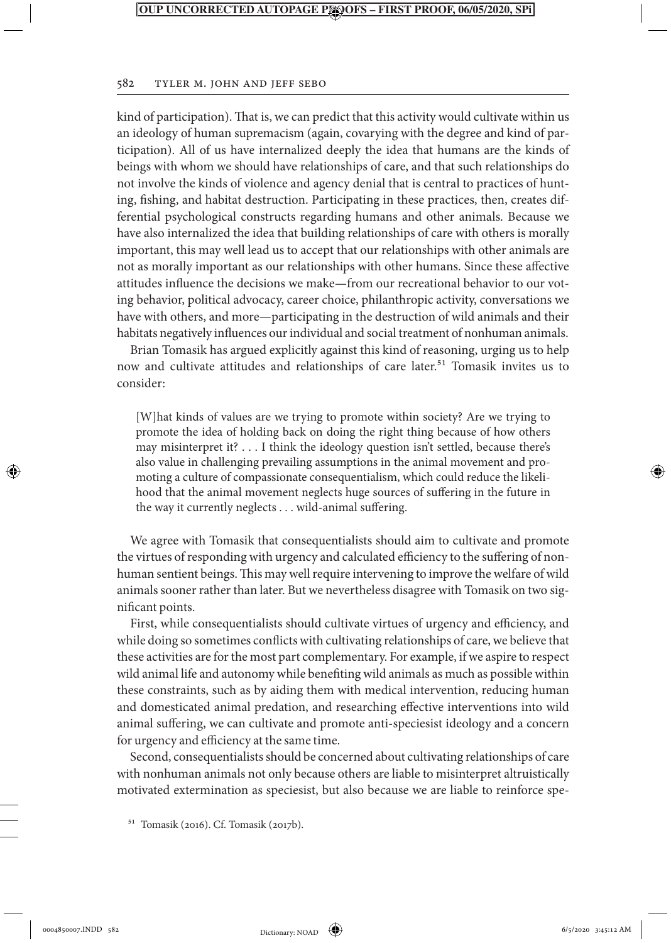#### 582 Tyler M. John and Jeff Sebo

kind of participation). That is, we can predict that this activity would cultivate within us an ideology of human supremacism (again, covarying with the degree and kind of participation). All of us have internalized deeply the idea that humans are the kinds of beings with whom we should have relationships of care, and that such relationships do not involve the kinds of violence and agency denial that is central to practices of hunting, fishing, and habitat destruction. Participating in these practices, then, creates differential psychological constructs regarding humans and other animals. Because we have also internalized the idea that building relationships of care with others is morally important, this may well lead us to accept that our relationships with other animals are not as morally important as our relationships with other humans. Since these affective attitudes influence the decisions we make—from our recreational behavior to our voting behavior, political advocacy, career choice, philanthropic activity, conversations we have with others, and more—participating in the destruction of wild animals and their habitats negatively influences our individual and social treatment of nonhuman animals.

Brian Tomasik has argued explicitly against this kind of reasoning, urging us to help now and cultivate attitudes and relationships of care later.<sup>51</sup> Tomasik invites us to consider:

[W]hat kinds of values are we trying to promote within society? Are we trying to promote the idea of holding back on doing the right thing because of how others may misinterpret it? . . . I think the ideology question isn't settled, because there's also value in challenging prevailing assumptions in the animal movement and promoting a culture of compassionate consequentialism, which could reduce the likelihood that the animal movement neglects huge sources of suffering in the future in the way it currently neglects . . . wild-animal suffering.

We agree with Tomasik that consequentialists should aim to cultivate and promote the virtues of responding with urgency and calculated efficiency to the suffering of nonhuman sentient beings. This may well require intervening to improve the welfare of wild animals sooner rather than later. But we nevertheless disagree with Tomasik on two significant points.

First, while consequentialists should cultivate virtues of urgency and efficiency, and while doing so sometimes conflicts with cultivating relationships of care, we believe that these activities are for the most part complementary. For example, if we aspire to respect wild animal life and autonomy while benefiting wild animals as much as possible within these constraints, such as by aiding them with medical intervention, reducing human and domesticated animal predation, and researching effective interventions into wild animal suffering, we can cultivate and promote anti-speciesist ideology and a concern for urgency and efficiency at the same time.

Second, consequentialists should be concerned about cultivating relationships of care with nonhuman animals not only because others are liable to misinterpret altruistically motivated extermination as speciesist, but also because we are liable to reinforce spe-

51 Tomasik (2016). Cf. Tomasik (2017b).

↔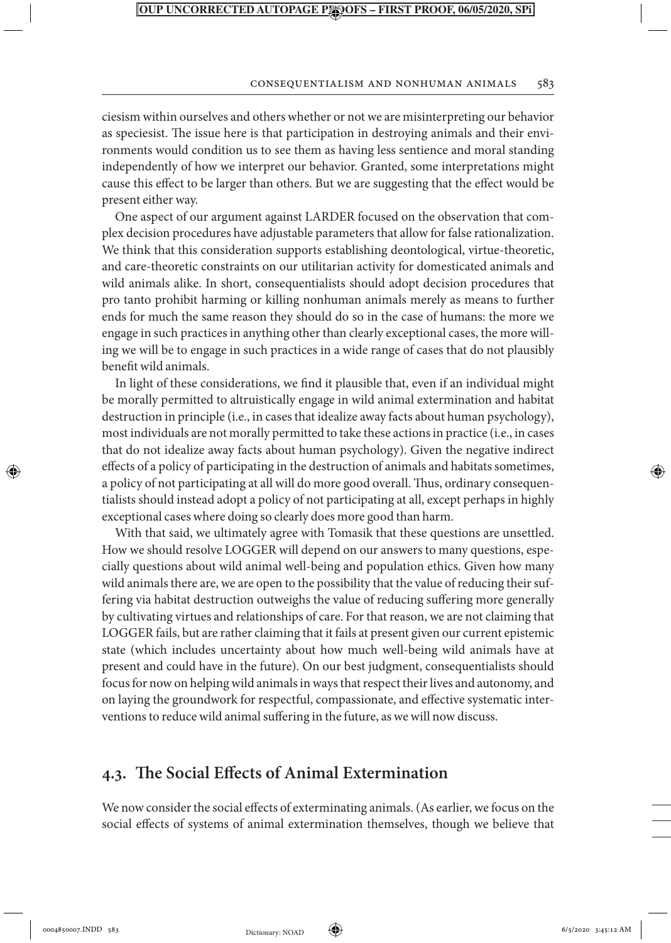#### Consequentialism and Nonhuman Animals 583

ciesism within ourselves and others whether or not we are misinterpreting our behavior as speciesist. The issue here is that participation in destroying animals and their environments would condition us to see them as having less sentience and moral standing independently of how we interpret our behavior. Granted, some interpretations might cause this effect to be larger than others. But we are suggesting that the effect would be present either way.

One aspect of our argument against LARDER focused on the observation that complex decision procedures have adjustable parameters that allow for false rationalization. We think that this consideration supports establishing deontological, virtue-theoretic, and care-theoretic constraints on our utilitarian activity for domesticated animals and wild animals alike. In short, consequentialists should adopt decision procedures that pro tanto prohibit harming or killing nonhuman animals merely as means to further ends for much the same reason they should do so in the case of humans: the more we engage in such practices in anything other than clearly exceptional cases, the more willing we will be to engage in such practices in a wide range of cases that do not plausibly benefit wild animals.

In light of these considerations, we find it plausible that, even if an individual might be morally permitted to altruistically engage in wild animal extermination and habitat destruction in principle (i.e., in cases that idealize away facts about human psychology), most individuals are not morally permitted to take these actions in practice (i.e., in cases that do not idealize away facts about human psychology). Given the negative indirect effects of a policy of participating in the destruction of animals and habitats sometimes, a policy of not participating at all will do more good overall. Thus, ordinary consequentialists should instead adopt a policy of not participating at all, except perhaps in highly exceptional cases where doing so clearly does more good than harm.

With that said, we ultimately agree with Tomasik that these questions are unsettled. How we should resolve LOGGER will depend on our answers to many questions, especially questions about wild animal well-being and population ethics. Given how many wild animals there are, we are open to the possibility that the value of reducing their suffering via habitat destruction outweighs the value of reducing suffering more generally by cultivating virtues and relationships of care. For that reason, we are not claiming that LOGGER fails, but are rather claiming that it fails at present given our current epistemic state (which includes uncertainty about how much well-being wild animals have at present and could have in the future). On our best judgment, consequentialists should focus for now on helping wild animals in ways that respect their lives and autonomy, and on laying the groundwork for respectful, compassionate, and effective systematic interventions to reduce wild animal suffering in the future, as we will now discuss.

## **4.3. The Social Effects of Animal Extermination**

We now consider the social effects of exterminating animals. (As earlier, we focus on the social effects of systems of animal extermination themselves, though we believe that

↔

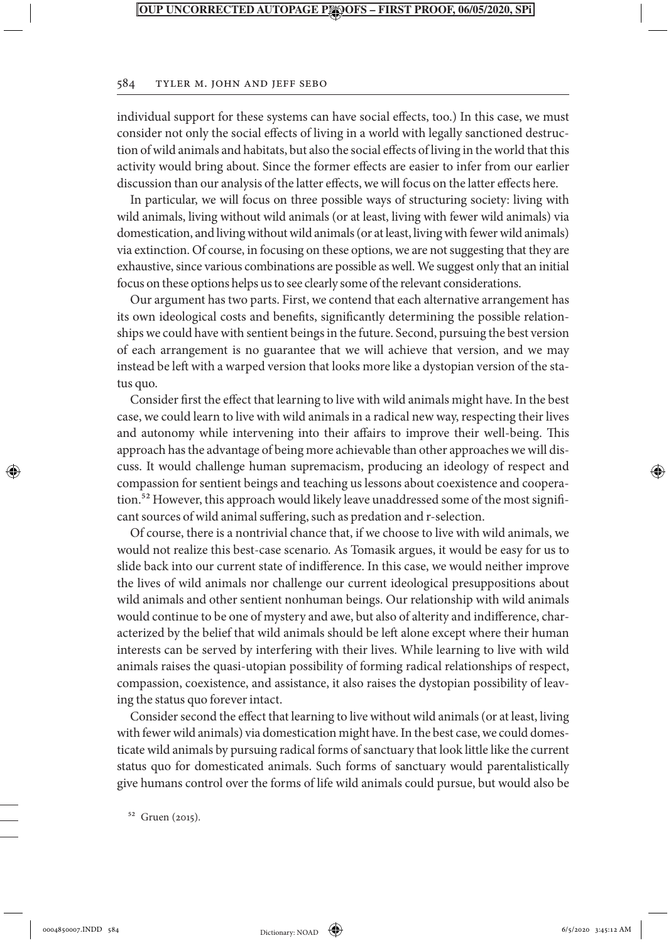#### 584 Tyler M. John and Jeff Sebo

individual support for these systems can have social effects, too.) In this case, we must consider not only the social effects of living in a world with legally sanctioned destruction of wild animals and habitats, but also the social effects of living in the world that this activity would bring about. Since the former effects are easier to infer from our earlier discussion than our analysis of the latter effects, we will focus on the latter effects here.

In particular, we will focus on three possible ways of structuring society: living with wild animals, living without wild animals (or at least, living with fewer wild animals) via domestication, and living without wild animals (or at least, living with fewer wild animals) via extinction. Of course, in focusing on these options, we are not suggesting that they are exhaustive, since various combinations are possible as well. We suggest only that an initial focus on these options helps us to see clearly some of the relevant considerations.

Our argument has two parts. First, we contend that each alternative arrangement has its own ideological costs and benefits, significantly determining the possible relationships we could have with sentient beings in the future. Second, pursuing the best version of each arrangement is no guarantee that we will achieve that version, and we may instead be left with a warped version that looks more like a dystopian version of the status quo.

Consider first the effect that learning to live with wild animals might have. In the best case, we could learn to live with wild animals in a radical new way, respecting their lives and autonomy while intervening into their affairs to improve their well-being. This approach has the advantage of being more achievable than other approaches we will discuss. It would challenge human supremacism, producing an ideology of respect and compassion for sentient beings and teaching us lessons about coexistence and cooperation.<sup>52</sup> However, this approach would likely leave unaddressed some of the most significant sources of wild animal suffering, such as predation and r-selection.

Of course, there is a nontrivial chance that, if we choose to live with wild animals, we would not realize this best-case scenario. As Tomasik argues, it would be easy for us to slide back into our current state of indifference. In this case, we would neither improve the lives of wild animals nor challenge our current ideological presuppositions about wild animals and other sentient nonhuman beings. Our relationship with wild animals would continue to be one of mystery and awe, but also of alterity and indifference, characterized by the belief that wild animals should be left alone except where their human interests can be served by interfering with their lives. While learning to live with wild animals raises the quasi-utopian possibility of forming radical relationships of respect, compassion, coexistence, and assistance, it also raises the dystopian possibility of leaving the status quo forever intact.

Consider second the effect that learning to live without wild animals (or at least, living with fewer wild animals) via domestication might have. In the best case, we could domesticate wild animals by pursuing radical forms of sanctuary that look little like the current status quo for domesticated animals. Such forms of sanctuary would parentalistically give humans control over the forms of life wild animals could pursue, but would also be

52 Gruen (2015).

⊕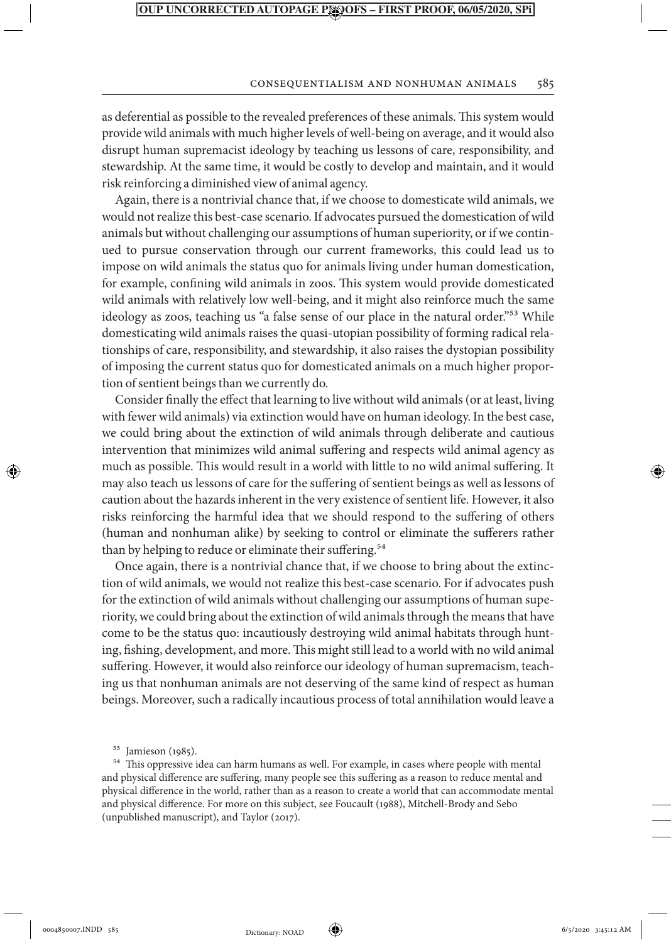#### Consequentialism and Nonhuman Animals 585

as deferential as possible to the revealed preferences of these animals. This system would provide wild animals with much higher levels of well-being on average, and it would also disrupt human supremacist ideology by teaching us lessons of care, responsibility, and stewardship. At the same time, it would be costly to develop and maintain, and it would risk reinforcing a diminished view of animal agency.

Again, there is a nontrivial chance that, if we choose to domesticate wild animals, we would not realize this best-case scenario. If advocates pursued the domestication of wild animals but without challenging our assumptions of human superiority, or if we continued to pursue conservation through our current frameworks, this could lead us to impose on wild animals the status quo for animals living under human domestication, for example, confining wild animals in zoos. This system would provide domesticated wild animals with relatively low well-being, and it might also reinforce much the same ideology as zoos, teaching us "a false sense of our place in the natural order."<sup>53</sup> While domesticating wild animals raises the quasi-utopian possibility of forming radical relationships of care, responsibility, and stewardship, it also raises the dystopian possibility of imposing the current status quo for domesticated animals on a much higher proportion of sentient beings than we currently do.

Consider finally the effect that learning to live without wild animals (or at least, living with fewer wild animals) via extinction would have on human ideology. In the best case, we could bring about the extinction of wild animals through deliberate and cautious intervention that minimizes wild animal suffering and respects wild animal agency as much as possible. This would result in a world with little to no wild animal suffering. It may also teach us lessons of care for the suffering of sentient beings as well as lessons of caution about the hazards inherent in the very existence of sentient life. However, it also risks reinforcing the harmful idea that we should respond to the suffering of others (human and nonhuman alike) by seeking to control or eliminate the sufferers rather than by helping to reduce or eliminate their suffering.<sup>54</sup>

Once again, there is a nontrivial chance that, if we choose to bring about the extinction of wild animals, we would not realize this best-case scenario. For if advocates push for the extinction of wild animals without challenging our assumptions of human superiority, we could bring about the extinction of wild animals through the means that have come to be the status quo: incautiously destroying wild animal habitats through hunting, fishing, development, and more. This might still lead to a world with no wild animal suffering. However, it would also reinforce our ideology of human supremacism, teaching us that nonhuman animals are not deserving of the same kind of respect as human beings. Moreover, such a radically incautious process of total annihilation would leave a

54 This oppressive idea can harm humans as well. For example, in cases where people with mental and physical difference are suffering, many people see this suffering as a reason to reduce mental and physical difference in the world, rather than as a reason to create a world that can accommodate mental and physical difference. For more on this subject, see Foucault (1988), Mitchell-Brody and Sebo (unpublished manuscript), and Taylor (2017).

⊕



<sup>53</sup> Jamieson (1985).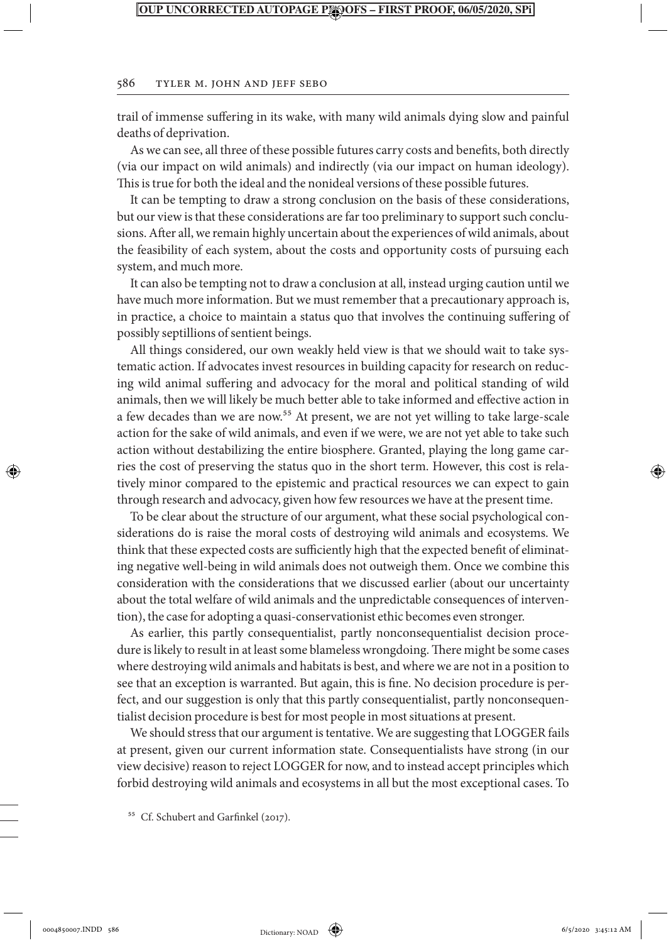#### 586 Tyler M. John and Jeff Sebo

trail of immense suffering in its wake, with many wild animals dying slow and painful deaths of deprivation.

As we can see, all three of these possible futures carry costs and benefits, both directly (via our impact on wild animals) and indirectly (via our impact on human ideology). This is true for both the ideal and the nonideal versions of these possible futures.

It can be tempting to draw a strong conclusion on the basis of these considerations, but our view is that these considerations are far too preliminary to support such conclusions. After all, we remain highly uncertain about the experiences of wild animals, about the feasibility of each system, about the costs and opportunity costs of pursuing each system, and much more.

It can also be tempting not to draw a conclusion at all, instead urging caution until we have much more information. But we must remember that a precautionary approach is, in practice, a choice to maintain a status quo that involves the continuing suffering of possibly septillions of sentient beings.

All things considered, our own weakly held view is that we should wait to take systematic action. If advocates invest resources in building capacity for research on reducing wild animal suffering and advocacy for the moral and political standing of wild animals, then we will likely be much better able to take informed and effective action in a few decades than we are now.<sup>55</sup> At present, we are not yet willing to take large-scale action for the sake of wild animals, and even if we were, we are not yet able to take such action without destabilizing the entire biosphere. Granted, playing the long game carries the cost of preserving the status quo in the short term. However, this cost is relatively minor compared to the epistemic and practical resources we can expect to gain through research and advocacy, given how few resources we have at the present time.

To be clear about the structure of our argument, what these social psychological considerations do is raise the moral costs of destroying wild animals and ecosystems. We think that these expected costs are sufficiently high that the expected benefit of eliminating negative well-being in wild animals does not outweigh them. Once we combine this consideration with the considerations that we discussed earlier (about our uncertainty about the total welfare of wild animals and the unpredictable consequences of intervention), the case for adopting a quasi-conservationist ethic becomes even stronger.

As earlier, this partly consequentialist, partly nonconsequentialist decision procedure is likely to result in at least some blameless wrongdoing. There might be some cases where destroying wild animals and habitats is best, and where we are not in a position to see that an exception is warranted. But again, this is fine. No decision procedure is perfect, and our suggestion is only that this partly consequentialist, partly nonconsequentialist decision procedure is best for most people in most situations at present.

We should stress that our argument is tentative. We are suggesting that LOGGER fails at present, given our current information state. Consequentialists have strong (in our view decisive) reason to reject LOGGER for now, and to instead accept principles which forbid destroying wild animals and ecosystems in all but the most exceptional cases. To

<sup>55</sup> Cf. Schubert and Garfinkel (2017).

⊕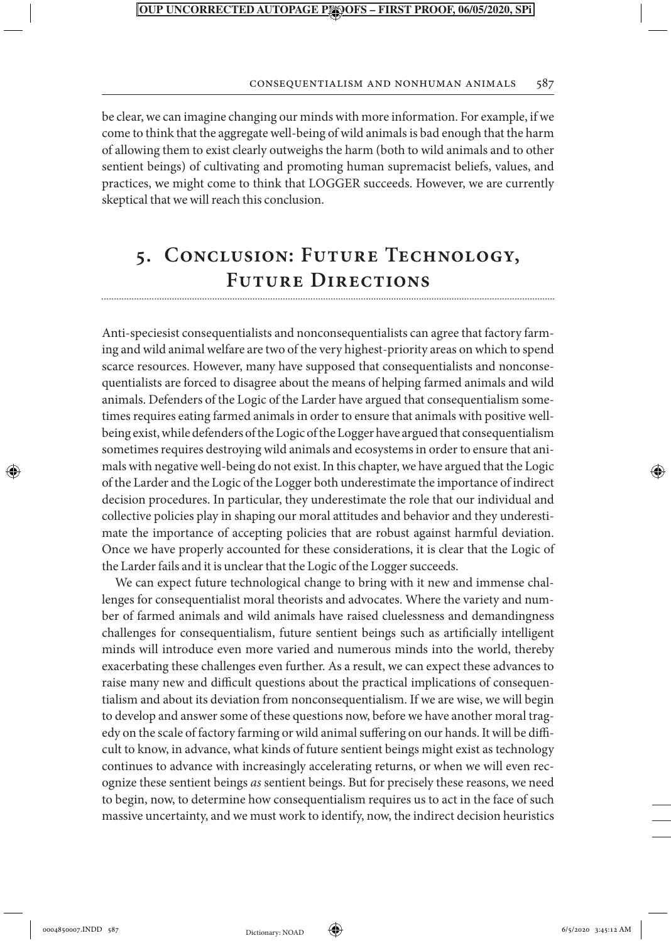#### Consequentialism and Nonhuman Animals 587

be clear, we can imagine changing our minds with more information. For example, if we come to think that the aggregate well-being of wild animals is bad enough that the harm of allowing them to exist clearly outweighs the harm (both to wild animals and to other sentient beings) of cultivating and promoting human supremacist beliefs, values, and practices, we might come to think that LOGGER succeeds. However, we are currently skeptical that we will reach this conclusion.

## **5. Conclusion: Future Technology, Future Directions**

Anti-speciesist consequentialists and nonconsequentialists can agree that factory farming and wild animal welfare are two of the very highest-priority areas on which to spend scarce resources. However, many have supposed that consequentialists and nonconsequentialists are forced to disagree about the means of helping farmed animals and wild animals. Defenders of the Logic of the Larder have argued that consequentialism sometimes requires eating farmed animals in order to ensure that animals with positive wellbeing exist, while defenders of the Logic of the Logger have argued that consequentialism sometimes requires destroying wild animals and ecosystems in order to ensure that animals with negative well-being do not exist. In this chapter, we have argued that the Logic of the Larder and the Logic of the Logger both underestimate the importance of indirect decision procedures. In particular, they underestimate the role that our individual and collective policies play in shaping our moral attitudes and behavior and they underestimate the importance of accepting policies that are robust against harmful deviation. Once we have properly accounted for these considerations, it is clear that the Logic of the Larder fails and it is unclear that the Logic of the Logger succeeds.

We can expect future technological change to bring with it new and immense challenges for consequentialist moral theorists and advocates. Where the variety and number of farmed animals and wild animals have raised cluelessness and demandingness challenges for consequentialism, future sentient beings such as artificially intelligent minds will introduce even more varied and numerous minds into the world, thereby exacerbating these challenges even further. As a result, we can expect these advances to raise many new and difficult questions about the practical implications of consequentialism and about its deviation from nonconsequentialism. If we are wise, we will begin to develop and answer some of these questions now, before we have another moral tragedy on the scale of factory farming or wild animal suffering on our hands. It will be difficult to know, in advance, what kinds of future sentient beings might exist as technology continues to advance with increasingly accelerating returns, or when we will even recognize these sentient beings *as* sentient beings. But for precisely these reasons, we need to begin, now, to determine how consequentialism requires us to act in the face of such massive uncertainty, and we must work to identify, now, the indirect decision heuristics

⊕

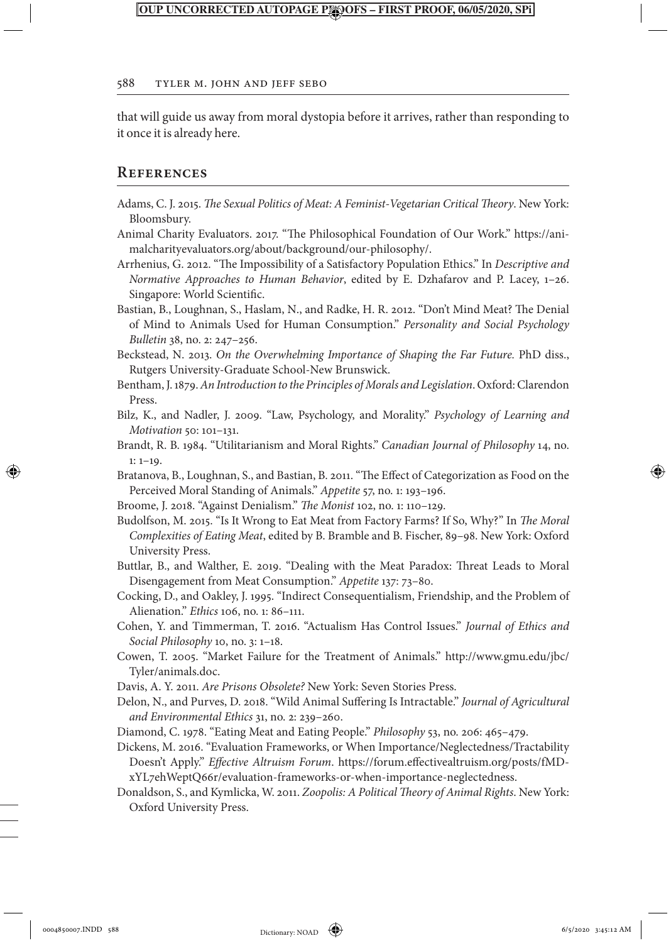#### 588 Tyler M. John and Jeff Sebo

that will guide us away from moral dystopia before it arrives, rather than responding to it once it is already here.

#### **References**

- Adams, C. J. 2015. *The Sexual Politics of Meat: A Feminist-Vegetarian Critical Theory*. New York: Bloomsbury.
- Animal Charity Evaluators. 2017. "The Philosophical Foundation of Our Work." https://animalcharityevaluators.org/about/background/our-philosophy/.
- Arrhenius, G. 2012. "The Impossibility of a Satisfactory Population Ethics." In *Descriptive and Normative Approaches to Human Behavior*, edited by E. Dzhafarov and P. Lacey, 1–26. Singapore: World Scientific.

Bastian, B., Loughnan, S., Haslam, N., and Radke, H. R. 2012. "Don't Mind Meat? The Denial of Mind to Animals Used for Human Consumption." *Personality and Social Psychology Bulletin* 38, no. 2: 247–256.

Beckstead, N. 2013. *On the Overwhelming Importance of Shaping the Far Future.* PhD diss., Rutgers University-Graduate School-New Brunswick.

- Bentham, J. 1879. *An Introduction to the Principles of Morals and Legislation*. Oxford: Clarendon Press.
- Bilz, K., and Nadler, J. 2009. "Law, Psychology, and Morality." *Psychology of Learning and Motivation* 50: 101–131.
- Brandt, R. B. 1984. "Utilitarianism and Moral Rights." *Canadian Journal of Philosophy* 14, no. 1: 1–19.
- Bratanova, B., Loughnan, S., and Bastian, B. 2011. "The Effect of Categorization as Food on the Perceived Moral Standing of Animals." *Appetite* 57, no. 1: 193–196.
- Broome, J. 2018. "Against Denialism." *The Monist* 102, no. 1: 110–129.
- Budolfson, M. 2015. "Is It Wrong to Eat Meat from Factory Farms? If So, Why?" In *The Moral Complexities of Eating Meat*, edited by B. Bramble and B. Fischer, 89–98. New York: Oxford University Press.
- Buttlar, B., and Walther, E. 2019. "Dealing with the Meat Paradox: Threat Leads to Moral Disengagement from Meat Consumption." *Appetite* 137: 73–80.
- Cocking, D., and Oakley, J. 1995. "Indirect Consequentialism, Friendship, and the Problem of Alienation." *Ethics* 106, no. 1: 86–111.
- Cohen, Y. and Timmerman, T. 2016. "Actualism Has Control Issues." *Journal of Ethics and Social Philosophy* 10, no. 3: 1–18.
- Cowen, T. 2005. "Market Failure for the Treatment of Animals." http://www.gmu.edu/jbc/ Tyler/animals.doc.
- Davis, A. Y. 2011. *Are Prisons Obsolete?* New York: Seven Stories Press.
- Delon, N., and Purves, D. 2018. "Wild Animal Suffering Is Intractable." *Journal of Agricultural and Environmental Ethics* 31, no. 2: 239–260.
- Diamond, C. 1978. "Eating Meat and Eating People." *Philosophy* 53, no. 206: 465–479.
- Dickens, M. 2016. "Evaluation Frameworks, or When Importance/Neglectedness/Tractability Doesn't Apply." *Effective Altruism Forum*. https://forum.effectivealtruism.org/posts/fMDxYL7ehWeptQ66r/evaluation-frameworks-or-when-importance-neglectedness.
- Donaldson, S., and Kymlicka, W. 2011. *Zoopolis: A Political Theory of Animal Rights*. New York: Oxford University Press.

⊕

Dictionary: NOAD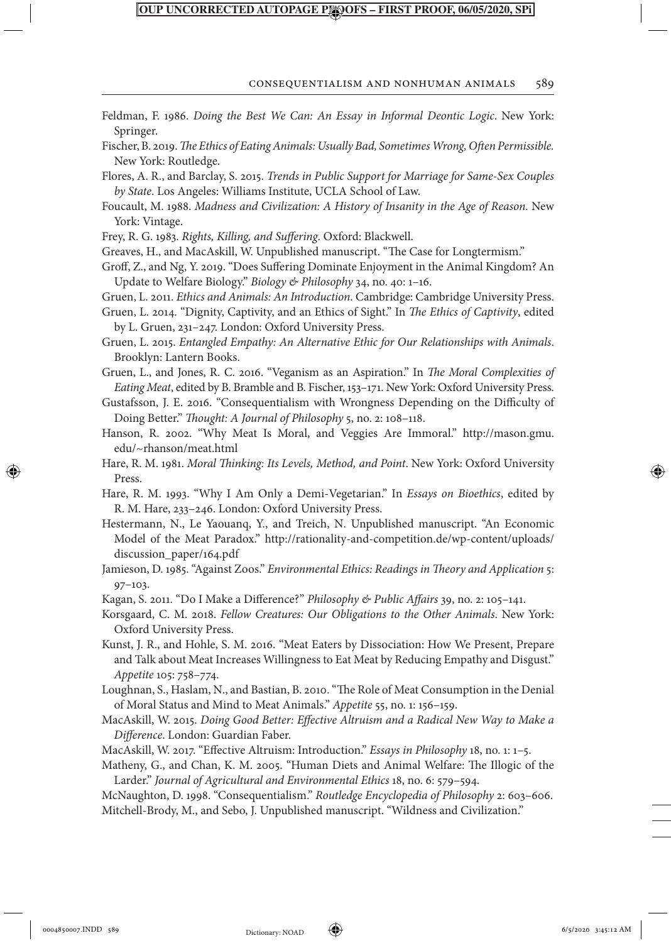#### Consequentialism and Nonhuman Animals 589

Feldman, F. 1986. *Doing the Best We Can: An Essay in Informal Deontic Logic*. New York: Springer. Fischer, B. 2019. *The Ethics of Eating Animals: Usually Bad, Sometimes Wrong, Often Permissible.* New York: Routledge.

Flores, A. R., and Barclay, S. 2015. *Trends in Public Support for Marriage for Same-Sex Couples by State*. Los Angeles: Williams Institute, UCLA School of Law.

Foucault, M. 1988. *Madness and Civilization: A History of Insanity in the Age of Reason.* New York: Vintage.

Frey, R. G. 1983. *Rights, Killing, and Suffering*. Oxford: Blackwell.

Greaves, H., and MacAskill, W. Unpublished manuscript. "The Case for Longtermism."

Groff, Z., and Ng, Y. 2019. "Does Suffering Dominate Enjoyment in the Animal Kingdom? An Update to Welfare Biology." *Biology & Philosophy* 34, no. 40: 1–16.

Gruen, L. 2011. *Ethics and Animals: An Introduction*. Cambridge: Cambridge University Press.

Gruen, L. 2014. "Dignity, Captivity, and an Ethics of Sight." In *The Ethics of Captivity*, edited by L. Gruen, 231–247. London: Oxford University Press.

Gruen, L. 2015. *Entangled Empathy: An Alternative Ethic for Our Relationships with Animals*. Brooklyn: Lantern Books.

Gruen, L., and Jones, R. C. 2016. "Veganism as an Aspiration." In *The Moral Complexities of Eating Meat*, edited by B. Bramble and B. Fischer, 153–171. New York: Oxford University Press.

Gustafsson, J. E. 2016. "Consequentialism with Wrongness Depending on the Difficulty of Doing Better." *Thought: A Journal of Philosophy* 5, no. 2: 108–118.

Hanson, R. 2002. "Why Meat Is Moral, and Veggies Are Immoral." http://mason.gmu. edu/~rhanson/meat.html

Hare, R. M. 1981. *Moral Thinking: Its Levels, Method, and Point*. New York: Oxford University Press.

Hare, R. M. 1993. "Why I Am Only a Demi-Vegetarian." In *Essays on Bioethics*, edited by R. M. Hare, 233–246. London: Oxford University Press.

Hestermann, N., Le Yaouanq, Y., and Treich, N. Unpublished manuscript. "An Economic Model of the Meat Paradox." http://rationality-and-competition.de/wp-content/uploads/ discussion\_paper/164.pdf

Jamieson, D. 1985. "Against Zoos." *Environmental Ethics: Readings in Theory and Application* 5: 97–103.

Kagan, S. 2011. "Do I Make a Difference?" *Philosophy & Public Affairs* 39, no. 2: 105–141.

Korsgaard, C. M. 2018. *Fellow Creatures: Our Obligations to the Other Animals*. New York: Oxford University Press.

Kunst, J. R., and Hohle, S. M. 2016. "Meat Eaters by Dissociation: How We Present, Prepare and Talk about Meat Increases Willingness to Eat Meat by Reducing Empathy and Disgust." *Appetite* 105: 758–774.

Loughnan, S., Haslam, N., and Bastian, B. 2010. "The Role of Meat Consumption in the Denial of Moral Status and Mind to Meat Animals." *Appetite* 55, no. 1: 156–159.

MacAskill, W. 2015. *Doing Good Better: Effective Altruism and a Radical New Way to Make a Difference*. London: Guardian Faber.

MacAskill, W. 2017. "Effective Altruism: Introduction." *Essays in Philosophy* 18, no. 1: 1–5.

Matheny, G., and Chan, K. M. 2005. "Human Diets and Animal Welfare: The Illogic of the Larder." *Journal of Agricultural and Environmental Ethics* 18, no. 6: 579–594.

McNaughton, D. 1998. "Consequentialism." *Routledge Encyclopedia of Philosophy* 2: 603–606. Mitchell-Brody, M., and Sebo, J. Unpublished manuscript. "Wildness and Civilization."

⊕

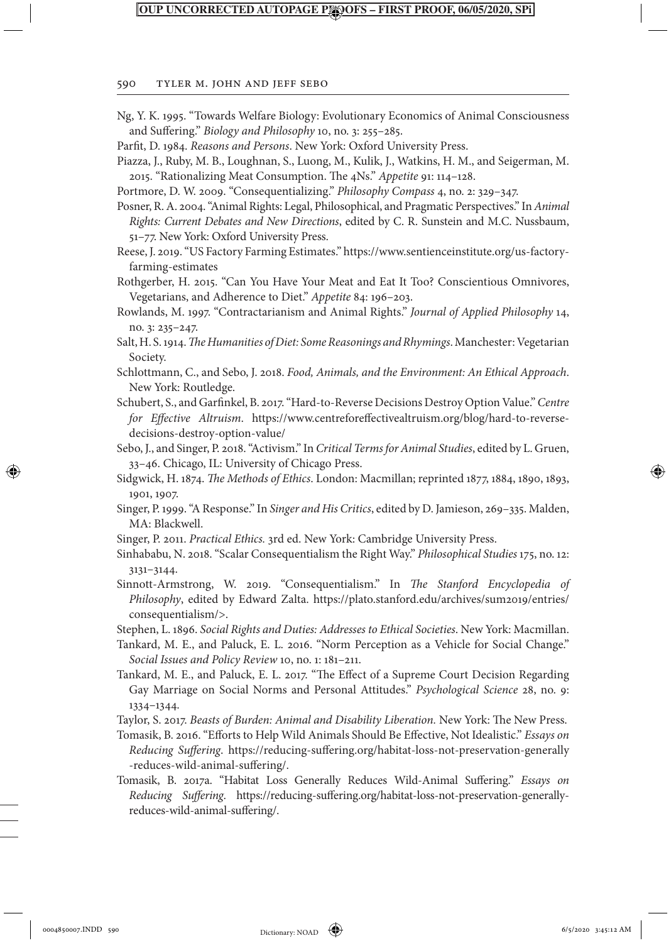#### 590 Tyler M. John and Jeff Sebo

| Ng, Y. K. 1995. "Towards Welfare Biology: Evolutionary Economics of Animal Consciousness<br>and Suffering." Biology and Philosophy 10, no. 3: 255-285.                                                                            |
|-----------------------------------------------------------------------------------------------------------------------------------------------------------------------------------------------------------------------------------|
| Parfit, D. 1984. Reasons and Persons. New York: Oxford University Press.                                                                                                                                                          |
|                                                                                                                                                                                                                                   |
| Piazza, J., Ruby, M. B., Loughnan, S., Luong, M., Kulik, J., Watkins, H. M., and Seigerman, M.                                                                                                                                    |
| 2015. "Rationalizing Meat Consumption. The 4Ns." Appetite 91: 114-128.                                                                                                                                                            |
| Portmore, D. W. 2009. "Consequentializing." Philosophy Compass 4, no. 2: 329-347.                                                                                                                                                 |
| Posner, R. A. 2004. "Animal Rights: Legal, Philosophical, and Pragmatic Perspectives." In Animal<br>Rights: Current Debates and New Directions, edited by C. R. Sunstein and M.C. Nussbaum,                                       |
| 51-77. New York: Oxford University Press.                                                                                                                                                                                         |
| Reese, J. 2019. "US Factory Farming Estimates." https://www.sentienceinstitute.org/us-factory-<br>farming-estimates                                                                                                               |
| Rothgerber, H. 2015. "Can You Have Your Meat and Eat It Too? Conscientious Omnivores,                                                                                                                                             |
| Vegetarians, and Adherence to Diet." Appetite 84: 196-203.                                                                                                                                                                        |
| Rowlands, M. 1997. "Contractarianism and Animal Rights." Journal of Applied Philosophy 14,                                                                                                                                        |
| no. 3: 235-247.                                                                                                                                                                                                                   |
| Salt, H. S. 1914. The Humanities of Diet: Some Reasonings and Rhymings. Manchester: Vegetarian                                                                                                                                    |
| Society.                                                                                                                                                                                                                          |
| Schlottmann, C., and Sebo, J. 2018. Food, Animals, and the Environment: An Ethical Approach.<br>New York: Routledge.                                                                                                              |
| Schubert, S., and Garfinkel, B. 2017. "Hard-to-Reverse Decisions Destroy Option Value." Centre                                                                                                                                    |
| for Effective Altruism. https://www.centreforeffectivealtruism.org/blog/hard-to-reverse-                                                                                                                                          |
| decisions-destroy-option-value/                                                                                                                                                                                                   |
| Sebo, J., and Singer, P. 2018. "Activism." In Critical Terms for Animal Studies, edited by L. Gruen,                                                                                                                              |
| 33-46. Chicago, IL: University of Chicago Press.                                                                                                                                                                                  |
| Sidgwick, H. 1874. The Methods of Ethics. London: Macmillan; reprinted 1877, 1884, 1890, 1893,                                                                                                                                    |
| 1901, 1907.                                                                                                                                                                                                                       |
| Singer, P. 1999. "A Response." In Singer and His Critics, edited by D. Jamieson, 269-335. Malden,<br>MA: Blackwell.                                                                                                               |
| Singer, P. 2011. Practical Ethics. 3rd ed. New York: Cambridge University Press.                                                                                                                                                  |
| Sinhababu, N. 2018. "Scalar Consequentialism the Right Way." Philosophical Studies 175, no. 12:<br>$3131 - 3144.$                                                                                                                 |
| Sinnott-Armstrong, W. 2019. "Consequentialism." In The Stanford Encyclopedia of<br>Philosophy, edited by Edward Zalta. https://plato.stanford.edu/archives/sum2019/entries/<br>consequentialism/>.                                |
| Stephen, L. 1896. Social Rights and Duties: Addresses to Ethical Societies. New York: Macmillan.                                                                                                                                  |
| Tankard, M. E., and Paluck, E. L. 2016. "Norm Perception as a Vehicle for Social Change."<br>Social Issues and Policy Review 10, no. 1: 181-211.                                                                                  |
| Tankard, M. E., and Paluck, E. L. 2017. "The Effect of a Supreme Court Decision Regarding                                                                                                                                         |
| Gay Marriage on Social Norms and Personal Attitudes." Psychological Science 28, no. 9:<br>$1334 - 1344.$                                                                                                                          |
| Taylor, S. 2017. Beasts of Burden: Animal and Disability Liberation. New York: The New Press.                                                                                                                                     |
| Tomasik, B. 2016. "Efforts to Help Wild Animals Should Be Effective, Not Idealistic." Essays on<br>Reducing Suffering. https://reducing-suffering.org/habitat-loss-not-preservation-generally<br>-reduces-wild-animal-suffering/. |
| Tomasik, B. 2017a. "Habitat Loss Generally Reduces Wild-Animal Suffering." Essays on<br>Reducing Suffering. https://reducing-suffering.org/habitat-loss-not-preservation-generally-                                               |
| reduces-wild-animal-suffering/.                                                                                                                                                                                                   |
|                                                                                                                                                                                                                                   |

 $\bigoplus$ 

 $\begin{array}{c} \hline \end{array}$ 

 $\bigoplus$